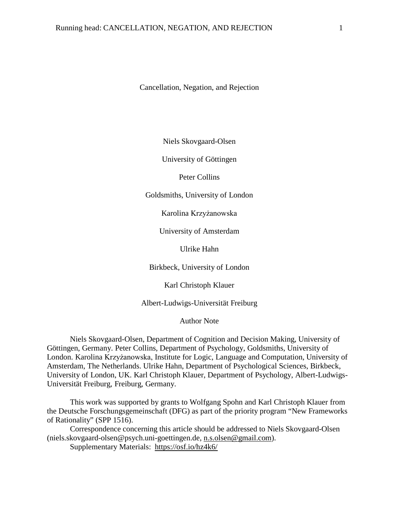Cancellation, Negation, and Rejection

Niels Skovgaard-Olsen

University of Göttingen

Peter Collins

Goldsmiths, University of London

Karolina Krzyżanowska

University of Amsterdam

Ulrike Hahn

Birkbeck, University of London

Karl Christoph Klauer

Albert-Ludwigs-Universität Freiburg

Author Note

Niels Skovgaard-Olsen, Department of Cognition and Decision Making, University of Göttingen, Germany. Peter Collins, Department of Psychology, Goldsmiths, University of London. Karolina Krzyżanowska, Institute for Logic, Language and Computation, University of Amsterdam, The Netherlands. Ulrike Hahn, Department of Psychological Sciences, Birkbeck, University of London, UK. Karl Christoph Klauer, Department of Psychology, Albert-Ludwigs-Universität Freiburg, Freiburg, Germany.

This work was supported by grants to Wolfgang Spohn and Karl Christoph Klauer from the Deutsche Forschungsgemeinschaft (DFG) as part of the priority program "New Frameworks of Rationality" (SPP 1516).

Correspondence concerning this article should be addressed to Niels Skovgaard-Olsen [\(niels.skovgaard-olsen@psych.uni-goettingen.de,](mailto:niels.skovgaard-olsen@psych.uni-goettingen.de) [n.s.olsen@gmail.com\)](mailto:n.s.olsen@gmail.com).

Supplementary Materials: <https://osf.io/hz4k6/>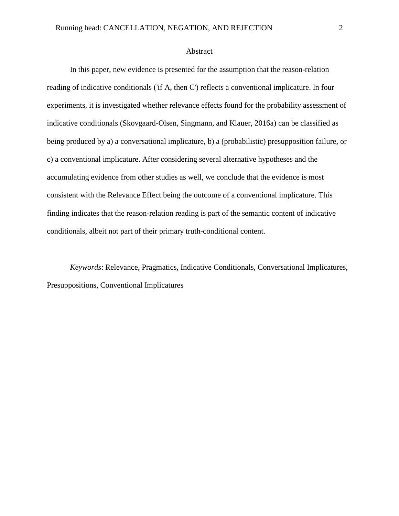## Abstract

In this paper, new evidence is presented for the assumption that the reason-relation reading of indicative conditionals ('if A, then C') reflects a conventional implicature. In four experiments, it is investigated whether relevance effects found for the probability assessment of indicative conditionals (Skovgaard-Olsen, Singmann, and Klauer, 2016a) can be classified as being produced by a) a conversational implicature, b) a (probabilistic) presupposition failure, or c) a conventional implicature. After considering several alternative hypotheses and the accumulating evidence from other studies as well, we conclude that the evidence is most consistent with the Relevance Effect being the outcome of a conventional implicature. This finding indicates that the reason-relation reading is part of the semantic content of indicative conditionals, albeit not part of their primary truth-conditional content.

*Keywords*: Relevance, Pragmatics, Indicative Conditionals, Conversational Implicatures, Presuppositions, Conventional Implicatures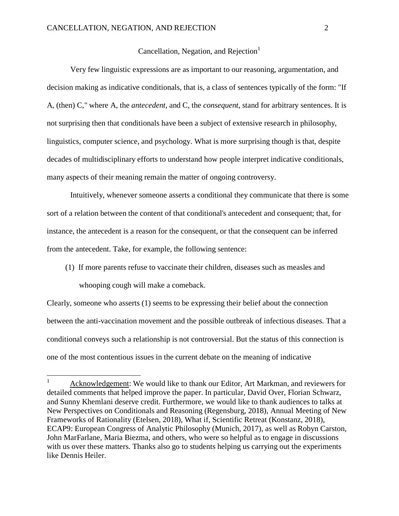# Cancellation, Negation, and Rejection<sup>[1](#page-2-0)</sup>

Very few linguistic expressions are as important to our reasoning, argumentation, and decision making as indicative conditionals, that is, a class of sentences typically of the form: "If A, (then) C," where A, the *antecedent*, and C, the *consequent*, stand for arbitrary sentences. It is not surprising then that conditionals have been a subject of extensive research in philosophy, linguistics, computer science, and psychology. What is more surprising though is that, despite decades of multidisciplinary efforts to understand how people interpret indicative conditionals, many aspects of their meaning remain the matter of ongoing controversy.

Intuitively, whenever someone asserts a conditional they communicate that there is some sort of a relation between the content of that conditional's antecedent and consequent; that, for instance, the antecedent is a reason for the consequent, or that the consequent can be inferred from the antecedent. Take, for example, the following sentence:

(1) If more parents refuse to vaccinate their children, diseases such as measles and whooping cough will make a comeback.

Clearly, someone who asserts (1) seems to be expressing their belief about the connection between the anti-vaccination movement and the possible outbreak of infectious diseases. That a conditional conveys such a relationship is not controversial. But the status of this connection is one of the most contentious issues in the current debate on the meaning of indicative

<span id="page-2-0"></span><sup>&</sup>lt;sup>1</sup> Acknowledgement: We would like to thank our Editor, Art Markman, and reviewers for detailed comments that helped improve the paper. In particular, David Over, Florian Schwarz, and Sunny Khemlani deserve credit. Furthermore, we would like to thank audiences to talks at New Perspectives on Conditionals and Reasoning (Regensburg, 2018), Annual Meeting of New Frameworks of Rationality (Etelsen, 2018), What if, Scientific Retreat (Konstanz, 2018), ECAP9: European Congress of Analytic Philosophy (Munich, 2017), as well as Robyn Carston, John MarFarlane, Maria Biezma, and others, who were so helpful as to engage in discussions with us over these matters. Thanks also go to students helping us carrying out the experiments like Dennis Heiler.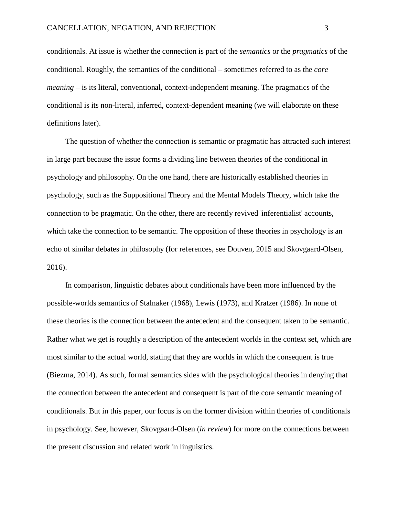conditionals. At issue is whether the connection is part of the *semantics* or the *pragmatics* of the conditional. Roughly, the semantics of the conditional – sometimes referred to as the *core meaning* – is its literal, conventional, context-independent meaning. The pragmatics of the conditional is its non-literal, inferred, context-dependent meaning (we will elaborate on these definitions later).

The question of whether the connection is semantic or pragmatic has attracted such interest in large part because the issue forms a dividing line between theories of the conditional in psychology and philosophy. On the one hand, there are historically established theories in psychology, such as the Suppositional Theory and the Mental Models Theory, which take the connection to be pragmatic. On the other, there are recently revived 'inferentialist' accounts, which take the connection to be semantic. The opposition of these theories in psychology is an echo of similar debates in philosophy (for references, see Douven, 2015 and Skovgaard-Olsen, 2016).

In comparison, linguistic debates about conditionals have been more influenced by the possible-worlds semantics of Stalnaker (1968), Lewis (1973), and Kratzer (1986). In none of these theories is the connection between the antecedent and the consequent taken to be semantic. Rather what we get is roughly a description of the antecedent worlds in the context set, which are most similar to the actual world, stating that they are worlds in which the consequent is true (Biezma, 2014). As such, formal semantics sides with the psychological theories in denying that the connection between the antecedent and consequent is part of the core semantic meaning of conditionals. But in this paper, our focus is on the former division within theories of conditionals in psychology. See, however, Skovgaard-Olsen (*in review*) for more on the connections between the present discussion and related work in linguistics.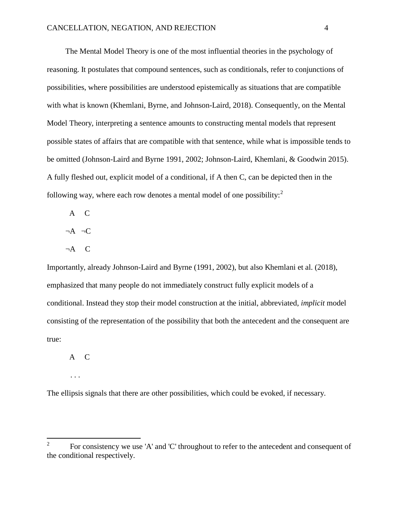The Mental Model Theory is one of the most influential theories in the psychology of reasoning. It postulates that compound sentences, such as conditionals, refer to conjunctions of possibilities, where possibilities are understood epistemically as situations that are compatible with what is known (Khemlani, Byrne, and Johnson-Laird, 2018). Consequently, on the Mental Model Theory, interpreting a sentence amounts to constructing mental models that represent possible states of affairs that are compatible with that sentence, while what is impossible tends to be omitted (Johnson-Laird and Byrne 1991, 2002; Johnson-Laird, Khemlani, & Goodwin 2015). A fully fleshed out, explicit model of a conditional, if A then C, can be depicted then in the following way, where each row denotes a mental model of one possibility:<sup>[2](#page-4-0)</sup>

- A C
- $\neg A$   $\neg C$
- ¬A C

Importantly, already Johnson-Laird and Byrne (1991, 2002), but also Khemlani et al. (2018), emphasized that many people do not immediately construct fully explicit models of a conditional. Instead they stop their model construction at the initial, abbreviated, *implicit* model consisting of the representation of the possibility that both the antecedent and the consequent are true:

# A C

. . .

The ellipsis signals that there are other possibilities, which could be evoked, if necessary.

<span id="page-4-0"></span><sup>&</sup>lt;sup>2</sup> For consistency we use 'A' and 'C' throughout to refer to the antecedent and consequent of the conditional respectively.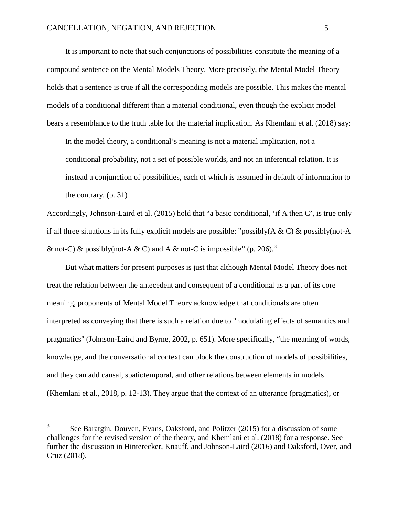It is important to note that such conjunctions of possibilities constitute the meaning of a compound sentence on the Mental Models Theory. More precisely, the Mental Model Theory holds that a sentence is true if all the corresponding models are possible. This makes the mental models of a conditional different than a material conditional, even though the explicit model bears a resemblance to the truth table for the material implication. As Khemlani et al. (2018) say:

In the model theory, a conditional's meaning is not a material implication, not a conditional probability, not a set of possible worlds, and not an inferential relation. It is instead a conjunction of possibilities, each of which is assumed in default of information to the contrary. (p. 31)

Accordingly, Johnson-Laird et al. (2015) hold that "a basic conditional, 'if A then C', is true only if all three situations in its fully explicit models are possible: "possibly( $A \& C$ )  $\&$  possibly(not-A & not-C) & possibly(not-A & C) and A & not-C is impossible" (p. 206).<sup>[3](#page-5-0)</sup>

But what matters for present purposes is just that although Mental Model Theory does not treat the relation between the antecedent and consequent of a conditional as a part of its core meaning, proponents of Mental Model Theory acknowledge that conditionals are often interpreted as conveying that there is such a relation due to "modulating effects of semantics and pragmatics" (Johnson-Laird and Byrne, 2002, p. 651). More specifically, "the meaning of words, knowledge, and the conversational context can block the construction of models of possibilities, and they can add causal, spatiotemporal, and other relations between elements in models (Khemlani et al., 2018, p. 12-13). They argue that the context of an utterance (pragmatics), or

<span id="page-5-0"></span><sup>&</sup>lt;sup>3</sup> See Baratgin, Douven, Evans, Oaksford, and Politzer (2015) for a discussion of some challenges for the revised version of the theory, and Khemlani et al. (2018) for a response. See further the discussion in Hinterecker, Knauff, and Johnson-Laird (2016) and Oaksford, Over, and Cruz (2018).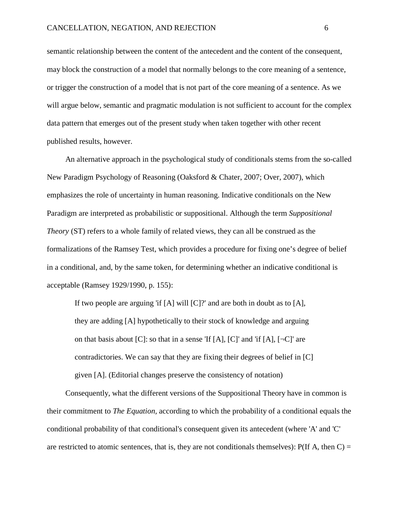semantic relationship between the content of the antecedent and the content of the consequent, may block the construction of a model that normally belongs to the core meaning of a sentence, or trigger the construction of a model that is not part of the core meaning of a sentence. As we will argue below, semantic and pragmatic modulation is not sufficient to account for the complex data pattern that emerges out of the present study when taken together with other recent published results, however.

An alternative approach in the psychological study of conditionals stems from the so-called New Paradigm Psychology of Reasoning (Oaksford & Chater, 2007; Over, 2007), which emphasizes the role of uncertainty in human reasoning. Indicative conditionals on the New Paradigm are interpreted as probabilistic or suppositional. Although the term *Suppositional Theory* (ST) refers to a whole family of related views, they can all be construed as the formalizations of the Ramsey Test, which provides a procedure for fixing one's degree of belief in a conditional, and, by the same token, for determining whether an indicative conditional is acceptable (Ramsey 1929/1990, p. 155):

If two people are arguing 'if [A] will [C]?' and are both in doubt as to [A], they are adding [A] hypothetically to their stock of knowledge and arguing on that basis about [C]: so that in a sense 'If [A], [C]' and 'if [A],  $[\neg C]$ ' are contradictories. We can say that they are fixing their degrees of belief in [C] given [A]. (Editorial changes preserve the consistency of notation)

Consequently, what the different versions of the Suppositional Theory have in common is their commitment to *The Equation,* according to which the probability of a conditional equals the conditional probability of that conditional's consequent given its antecedent (where 'A' and 'C' are restricted to atomic sentences, that is, they are not conditionals themselves):  $P(\text{If A, then C}) =$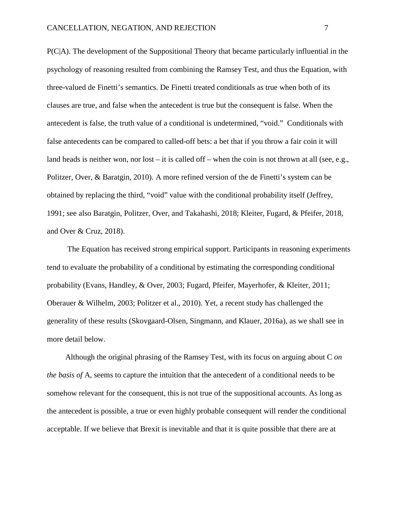P(C|A). The development of the Suppositional Theory that became particularly influential in the psychology of reasoning resulted from combining the Ramsey Test, and thus the Equation, with three-valued de Finetti's semantics. De Finetti treated conditionals as true when both of its clauses are true, and false when the antecedent is true but the consequent is false. When the antecedent is false, the truth value of a conditional is undetermined, "void." Conditionals with false antecedents can be compared to called-off bets: a bet that if you throw a fair coin it will land heads is neither won, nor lost – it is called off – when the coin is not thrown at all (see, e.g., Politzer, Over, & Baratgin, 2010). A more refined version of the de Finetti's system can be obtained by replacing the third, "void" value with the conditional probability itself (Jeffrey, 1991; see also Baratgin, Politzer, Over, and Takahashi, 2018; Kleiter, Fugard, & Pfeifer, 2018, and Over & Cruz, 2018).

The Equation has received strong empirical support. Participants in reasoning experiments tend to evaluate the probability of a conditional by estimating the corresponding conditional probability (Evans, Handley, & Over, 2003; Fugard, Pfeifer, Mayerhofer, & Kleiter, 2011; Oberauer & Wilhelm, 2003; Politzer et al., 2010). Yet, a recent study has challenged the generality of these results (Skovgaard-Olsen, Singmann, and Klauer, 2016a), as we shall see in more detail below.

Although the original phrasing of the Ramsey Test, with its focus on arguing about C *on the basis of* A, seems to capture the intuition that the antecedent of a conditional needs to be somehow relevant for the consequent, this is not true of the suppositional accounts. As long as the antecedent is possible, a true or even highly probable consequent will render the conditional acceptable. If we believe that Brexit is inevitable and that it is quite possible that there are at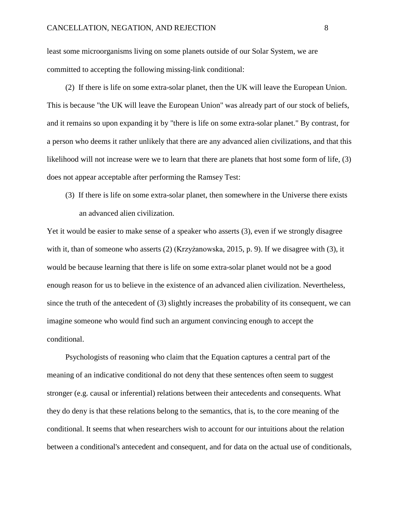least some microorganisms living on some planets outside of our Solar System, we are committed to accepting the following missing-link conditional:

(2) If there is life on some extra-solar planet, then the UK will leave the European Union. This is because "the UK will leave the European Union" was already part of our stock of beliefs, and it remains so upon expanding it by "there is life on some extra-solar planet." By contrast, for a person who deems it rather unlikely that there are any advanced alien civilizations, and that this likelihood will not increase were we to learn that there are planets that host some form of life, (3) does not appear acceptable after performing the Ramsey Test:

(3) If there is life on some extra-solar planet, then somewhere in the Universe there exists an advanced alien civilization.

Yet it would be easier to make sense of a speaker who asserts (3), even if we strongly disagree with it, than of someone who asserts (2) (Krzyżanowska, 2015, p. 9). If we disagree with (3), it would be because learning that there is life on some extra-solar planet would not be a good enough reason for us to believe in the existence of an advanced alien civilization. Nevertheless, since the truth of the antecedent of (3) slightly increases the probability of its consequent, we can imagine someone who would find such an argument convincing enough to accept the conditional.

Psychologists of reasoning who claim that the Equation captures a central part of the meaning of an indicative conditional do not deny that these sentences often seem to suggest stronger (e.g. causal or inferential) relations between their antecedents and consequents. What they do deny is that these relations belong to the semantics, that is, to the core meaning of the conditional. It seems that when researchers wish to account for our intuitions about the relation between a conditional's antecedent and consequent, and for data on the actual use of conditionals,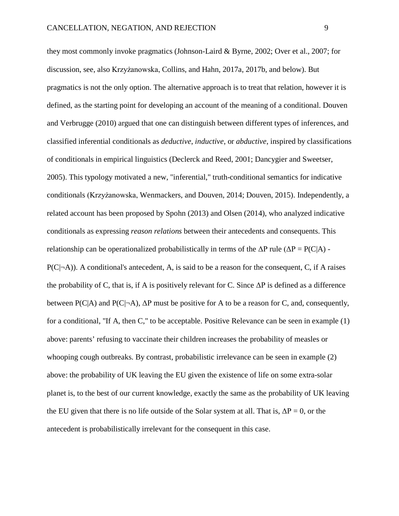they most commonly invoke pragmatics (Johnson-Laird & Byrne, 2002; Over et al., 2007; for discussion, see, also Krzyżanowska, Collins, and Hahn, 2017a, 2017b, and below). But pragmatics is not the only option. The alternative approach is to treat that relation, however it is defined, as the starting point for developing an account of the meaning of a conditional. Douven and Verbrugge (2010) argued that one can distinguish between different types of inferences, and classified inferential conditionals as *deductive*, *inductive*, or *abductive*, inspired by classifications of conditionals in empirical linguistics (Declerck and Reed, 2001; Dancygier and Sweetser, 2005). This typology motivated a new, "inferential," truth-conditional semantics for indicative conditionals (Krzyżanowska, Wenmackers, and Douven, 2014; Douven, 2015). Independently, a related account has been proposed by Spohn (2013) and Olsen (2014), who analyzed indicative conditionals as expressing *reason relations* between their antecedents and consequents. This relationship can be operationalized probabilistically in terms of the  $\Delta P$  rule ( $\Delta P = P(C|A)$ )  $P(C|\neg A)$ ). A conditional's antecedent, A, is said to be a reason for the consequent, C, if A raises the probability of C, that is, if A is positively relevant for C. Since  $\Delta P$  is defined as a difference between  $P(C|A)$  and  $P(C|\neg A)$ ,  $\Delta P$  must be positive for A to be a reason for C, and, consequently, for a conditional, "If A, then C," to be acceptable. Positive Relevance can be seen in example (1) above: parents' refusing to vaccinate their children increases the probability of measles or whooping cough outbreaks. By contrast, probabilistic irrelevance can be seen in example (2) above: the probability of UK leaving the EU given the existence of life on some extra-solar planet is, to the best of our current knowledge, exactly the same as the probability of UK leaving the EU given that there is no life outside of the Solar system at all. That is,  $\Delta P = 0$ , or the antecedent is probabilistically irrelevant for the consequent in this case.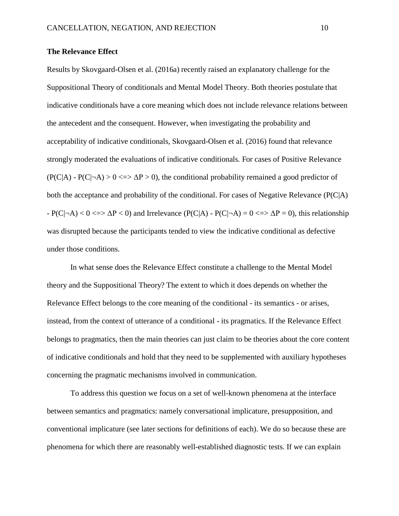# **The Relevance Effect**

Results by Skovgaard-Olsen et al. (2016a) recently raised an explanatory challenge for the Suppositional Theory of conditionals and Mental Model Theory. Both theories postulate that indicative conditionals have a core meaning which does not include relevance relations between the antecedent and the consequent. However, when investigating the probability and acceptability of indicative conditionals, Skovgaard-Olsen et al. (2016) found that relevance strongly moderated the evaluations of indicative conditionals. For cases of Positive Relevance  $(P(C|A) - P(C|\neg A) > 0 \leq P > 0$ , the conditional probability remained a good predictor of both the acceptance and probability of the conditional. For cases of Negative Relevance  $(P(C|A))$  $-P(C|\neg A) < 0 \le D \le \Delta P < 0$  and Irrelevance  $(P(C|A) - P(C|\neg A) = 0 \le D \le \Delta P = 0)$ , this relationship was disrupted because the participants tended to view the indicative conditional as defective under those conditions.

In what sense does the Relevance Effect constitute a challenge to the Mental Model theory and the Suppositional Theory? The extent to which it does depends on whether the Relevance Effect belongs to the core meaning of the conditional - its semantics - or arises, instead, from the context of utterance of a conditional - its pragmatics. If the Relevance Effect belongs to pragmatics, then the main theories can just claim to be theories about the core content of indicative conditionals and hold that they need to be supplemented with auxiliary hypotheses concerning the pragmatic mechanisms involved in communication.

To address this question we focus on a set of well-known phenomena at the interface between semantics and pragmatics: namely conversational implicature, presupposition, and conventional implicature (see later sections for definitions of each). We do so because these are phenomena for which there are reasonably well-established diagnostic tests. If we can explain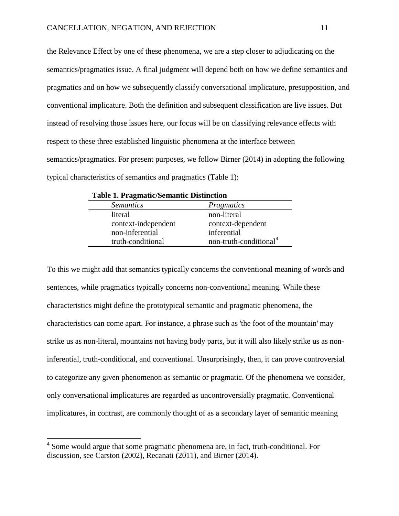the Relevance Effect by one of these phenomena, we are a step closer to adjudicating on the semantics/pragmatics issue. A final judgment will depend both on how we define semantics and pragmatics and on how we subsequently classify conversational implicature, presupposition, and conventional implicature. Both the definition and subsequent classification are live issues. But instead of resolving those issues here, our focus will be on classifying relevance effects with respect to these three established linguistic phenomena at the interface between semantics/pragmatics. For present purposes, we follow Birner (2014) in adopting the following typical characteristics of semantics and pragmatics (Table 1):

| Table 1. Pragmatic/Semantic Distinction |                                    |  |
|-----------------------------------------|------------------------------------|--|
| <i>Semantics</i>                        | <i>Pragmatics</i>                  |  |
| literal                                 | non-literal                        |  |
| context-independent                     | context-dependent                  |  |
| non-inferential                         | inferential                        |  |
| truth-conditional                       | non-truth-conditional <sup>4</sup> |  |

**Table 1. Pragmatic/Semantic Distinction**

To this we might add that semantics typically concerns the conventional meaning of words and sentences, while pragmatics typically concerns non-conventional meaning. While these characteristics might define the prototypical semantic and pragmatic phenomena, the characteristics can come apart. For instance, a phrase such as 'the foot of the mountain' may strike us as non-literal, mountains not having body parts, but it will also likely strike us as noninferential, truth-conditional, and conventional. Unsurprisingly, then, it can prove controversial to categorize any given phenomenon as semantic or pragmatic. Of the phenomena we consider, only conversational implicatures are regarded as uncontroversially pragmatic. Conventional implicatures, in contrast, are commonly thought of as a secondary layer of semantic meaning

<span id="page-11-0"></span> $4\text{ Some would argue that some pragmatic phenomena are, in fact, truth-conditional. For }$ discussion, see Carston (2002), Recanati (2011), and Birner (2014).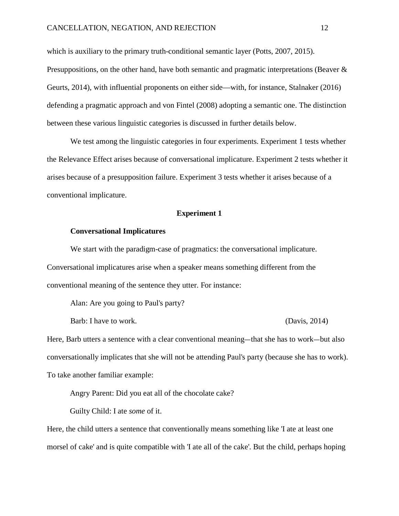which is auxiliary to the primary truth-conditional semantic layer (Potts, 2007, 2015). Presuppositions, on the other hand, have both semantic and pragmatic interpretations (Beaver & Geurts, 2014), with influential proponents on either side—with, for instance, Stalnaker (2016) defending a pragmatic approach and von Fintel (2008) adopting a semantic one. The distinction between these various linguistic categories is discussed in further details below.

We test among the linguistic categories in four experiments. Experiment 1 tests whether the Relevance Effect arises because of conversational implicature. Experiment 2 tests whether it arises because of a presupposition failure. Experiment 3 tests whether it arises because of a conventional implicature.

# **Experiment 1**

## **Conversational Implicatures**

We start with the paradigm-case of pragmatics: the conversational implicature. Conversational implicatures arise when a speaker means something different from the conventional meaning of the sentence they utter. For instance:

Alan: Are you going to Paul's party?

Barb: I have to work. (Davis, 2014)

Here, Barb utters a sentence with a clear conventional meaning—that she has to work—but also conversationally implicates that she will not be attending Paul's party (because she has to work). To take another familiar example:

Angry Parent: Did you eat all of the chocolate cake?

Guilty Child: I ate *some* of it.

Here, the child utters a sentence that conventionally means something like 'I ate at least one morsel of cake' and is quite compatible with 'I ate all of the cake'. But the child, perhaps hoping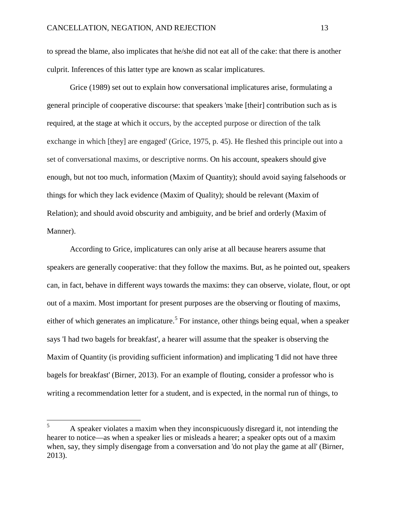to spread the blame, also implicates that he/she did not eat all of the cake: that there is another culprit. Inferences of this latter type are known as scalar implicatures.

Grice (1989) set out to explain how conversational implicatures arise, formulating a general principle of cooperative discourse: that speakers 'make [their] contribution such as is required, at the stage at which it occurs, by the accepted purpose or direction of the talk exchange in which [they] are engaged' (Grice, 1975, p. 45). He fleshed this principle out into a set of conversational maxims, or descriptive norms. On his account, speakers should give enough, but not too much, information (Maxim of Quantity); should avoid saying falsehoods or things for which they lack evidence (Maxim of Quality); should be relevant (Maxim of Relation); and should avoid obscurity and ambiguity, and be brief and orderly (Maxim of Manner).

According to Grice, implicatures can only arise at all because hearers assume that speakers are generally cooperative: that they follow the maxims. But, as he pointed out, speakers can, in fact, behave in different ways towards the maxims: they can observe, violate, flout, or opt out of a maxim. Most important for present purposes are the observing or flouting of maxims, either of which generates an implicature.<sup>[5](#page-13-0)</sup> For instance, other things being equal, when a speaker says 'I had two bagels for breakfast', a hearer will assume that the speaker is observing the Maxim of Quantity (is providing sufficient information) and implicating 'I did not have three bagels for breakfast' (Birner, 2013). For an example of flouting, consider a professor who is writing a recommendation letter for a student, and is expected, in the normal run of things, to

<span id="page-13-0"></span><sup>&</sup>lt;sup>5</sup> A speaker violates a maxim when they inconspicuously disregard it, not intending the hearer to notice—as when a speaker lies or misleads a hearer; a speaker opts out of a maxim when, say, they simply disengage from a conversation and 'do not play the game at all' (Birner, 2013).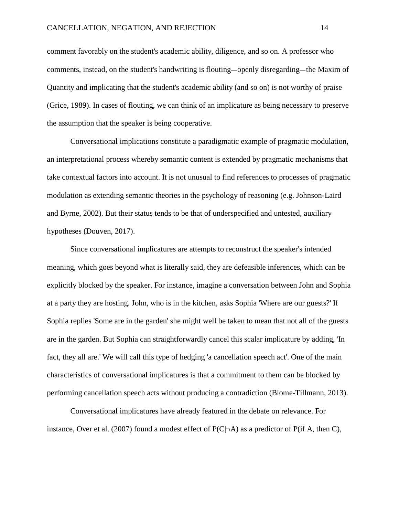comment favorably on the student's academic ability, diligence, and so on. A professor who comments, instead, on the student's handwriting is flouting—openly disregarding—the Maxim of Quantity and implicating that the student's academic ability (and so on) is not worthy of praise (Grice, 1989). In cases of flouting, we can think of an implicature as being necessary to preserve the assumption that the speaker is being cooperative.

Conversational implications constitute a paradigmatic example of pragmatic modulation, an interpretational process whereby semantic content is extended by pragmatic mechanisms that take contextual factors into account. It is not unusual to find references to processes of pragmatic modulation as extending semantic theories in the psychology of reasoning (e.g. Johnson-Laird and Byrne, 2002). But their status tends to be that of underspecified and untested, auxiliary hypotheses (Douven, 2017).

Since conversational implicatures are attempts to reconstruct the speaker's intended meaning, which goes beyond what is literally said, they are defeasible inferences, which can be explicitly blocked by the speaker. For instance, imagine a conversation between John and Sophia at a party they are hosting. John, who is in the kitchen, asks Sophia 'Where are our guests?' If Sophia replies 'Some are in the garden' she might well be taken to mean that not all of the guests are in the garden. But Sophia can straightforwardly cancel this scalar implicature by adding, 'In fact, they all are.' We will call this type of hedging 'a cancellation speech act'. One of the main characteristics of conversational implicatures is that a commitment to them can be blocked by performing cancellation speech acts without producing a contradiction (Blome-Tillmann, 2013).

Conversational implicatures have already featured in the debate on relevance. For instance, Over et al. (2007) found a modest effect of  $P(C|\neg A)$  as a predictor of P(if A, then C),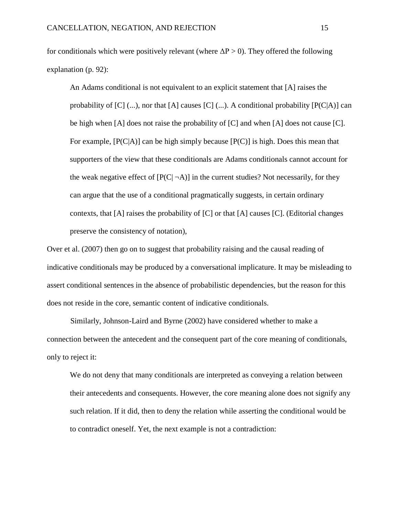for conditionals which were positively relevant (where  $\Delta P > 0$ ). They offered the following explanation (p. 92):

An Adams conditional is not equivalent to an explicit statement that [A] raises the probability of  $[C]$  (...), nor that  $[A]$  causes  $[C]$  (...). A conditional probability  $[P(C|A)]$  can be high when [A] does not raise the probability of [C] and when [A] does not cause [C]. For example,  $[P(C|A)]$  can be high simply because  $[P(C)]$  is high. Does this mean that supporters of the view that these conditionals are Adams conditionals cannot account for the weak negative effect of  $[PC|\neg A]$  in the current studies? Not necessarily, for they can argue that the use of a conditional pragmatically suggests, in certain ordinary contexts, that  $[A]$  raises the probability of  $[C]$  or that  $[A]$  causes  $[C]$ . (Editorial changes preserve the consistency of notation),

Over et al. (2007) then go on to suggest that probability raising and the causal reading of indicative conditionals may be produced by a conversational implicature. It may be misleading to assert conditional sentences in the absence of probabilistic dependencies, but the reason for this does not reside in the core, semantic content of indicative conditionals.

Similarly, Johnson-Laird and Byrne (2002) have considered whether to make a connection between the antecedent and the consequent part of the core meaning of conditionals, only to reject it:

We do not deny that many conditionals are interpreted as conveying a relation between their antecedents and consequents. However, the core meaning alone does not signify any such relation. If it did, then to deny the relation while asserting the conditional would be to contradict oneself. Yet, the next example is not a contradiction: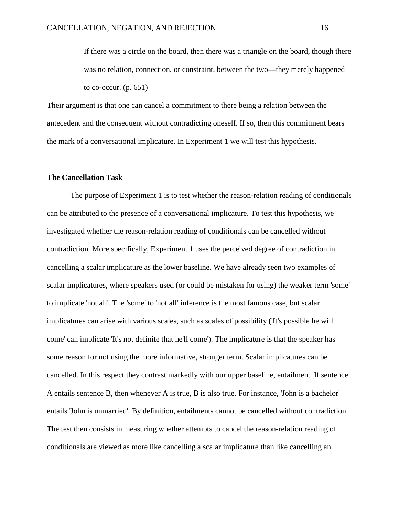If there was a circle on the board, then there was a triangle on the board, though there was no relation, connection, or constraint, between the two—they merely happened to co-occur.  $(p. 651)$ 

Their argument is that one can cancel a commitment to there being a relation between the antecedent and the consequent without contradicting oneself. If so, then this commitment bears the mark of a conversational implicature. In Experiment 1 we will test this hypothesis.

## **The Cancellation Task**

The purpose of Experiment 1 is to test whether the reason-relation reading of conditionals can be attributed to the presence of a conversational implicature. To test this hypothesis, we investigated whether the reason-relation reading of conditionals can be cancelled without contradiction. More specifically, Experiment 1 uses the perceived degree of contradiction in cancelling a scalar implicature as the lower baseline. We have already seen two examples of scalar implicatures, where speakers used (or could be mistaken for using) the weaker term 'some' to implicate 'not all'. The 'some' to 'not all' inference is the most famous case, but scalar implicatures can arise with various scales, such as scales of possibility ('It's possible he will come' can implicate 'It's not definite that he'll come'). The implicature is that the speaker has some reason for not using the more informative, stronger term. Scalar implicatures can be cancelled. In this respect they contrast markedly with our upper baseline, entailment. If sentence A entails sentence B, then whenever A is true, B is also true. For instance, 'John is a bachelor' entails 'John is unmarried'. By definition, entailments cannot be cancelled without contradiction. The test then consists in measuring whether attempts to cancel the reason-relation reading of conditionals are viewed as more like cancelling a scalar implicature than like cancelling an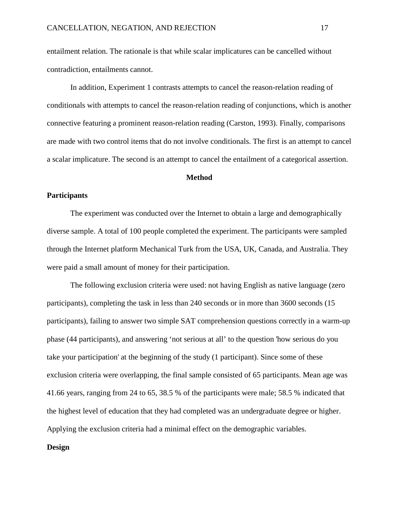entailment relation. The rationale is that while scalar implicatures can be cancelled without contradiction, entailments cannot.

In addition, Experiment 1 contrasts attempts to cancel the reason-relation reading of conditionals with attempts to cancel the reason-relation reading of conjunctions, which is another connective featuring a prominent reason-relation reading (Carston, 1993). Finally, comparisons are made with two control items that do not involve conditionals. The first is an attempt to cancel a scalar implicature. The second is an attempt to cancel the entailment of a categorical assertion.

# **Method**

# **Participants**

The experiment was conducted over the Internet to obtain a large and demographically diverse sample. A total of 100 people completed the experiment. The participants were sampled through the Internet platform Mechanical Turk from the USA, UK, Canada, and Australia. They were paid a small amount of money for their participation.

The following exclusion criteria were used: not having English as native language (zero participants), completing the task in less than 240 seconds or in more than 3600 seconds (15 participants), failing to answer two simple SAT comprehension questions correctly in a warm-up phase (44 participants), and answering 'not serious at all' to the question 'how serious do you take your participation' at the beginning of the study (1 participant). Since some of these exclusion criteria were overlapping, the final sample consisted of 65 participants. Mean age was 41.66 years, ranging from 24 to 65, 38.5 % of the participants were male; 58.5 % indicated that the highest level of education that they had completed was an undergraduate degree or higher. Applying the exclusion criteria had a minimal effect on the demographic variables.

#### **Design**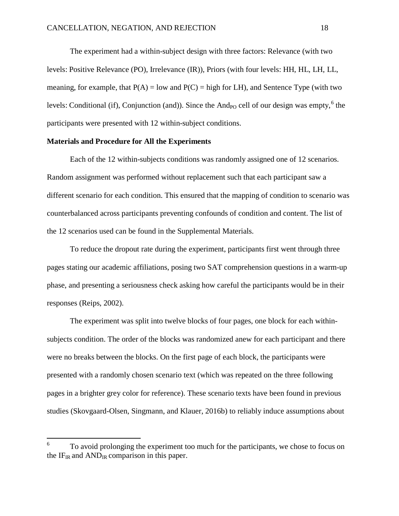The experiment had a within-subject design with three factors: Relevance (with two levels: Positive Relevance (PO), Irrelevance (IR)), Priors (with four levels: HH, HL, LH, LL, meaning, for example, that  $P(A) = low$  and  $P(C) = high$  for LH), and Sentence Type (with two levels: Conditional (if), Conjunction (and)). Since the And<sub>PO</sub> cell of our design was empty, <sup>[6](#page-18-0)</sup> the participants were presented with 12 within-subject conditions.

# **Materials and Procedure for All the Experiments**

Each of the 12 within-subjects conditions was randomly assigned one of 12 scenarios. Random assignment was performed without replacement such that each participant saw a different scenario for each condition. This ensured that the mapping of condition to scenario was counterbalanced across participants preventing confounds of condition and content. The list of the 12 scenarios used can be found in the Supplemental Materials.

To reduce the dropout rate during the experiment, participants first went through three pages stating our academic affiliations, posing two SAT comprehension questions in a warm-up phase, and presenting a seriousness check asking how careful the participants would be in their responses (Reips, 2002).

The experiment was split into twelve blocks of four pages, one block for each withinsubjects condition. The order of the blocks was randomized anew for each participant and there were no breaks between the blocks. On the first page of each block, the participants were presented with a randomly chosen scenario text (which was repeated on the three following pages in a brighter grey color for reference). These scenario texts have been found in previous studies (Skovgaard-Olsen, Singmann, and Klauer, 2016b) to reliably induce assumptions about

<span id="page-18-0"></span><sup>&</sup>lt;sup>6</sup> To avoid prolonging the experiment too much for the participants, we chose to focus on the  $IF_{IR}$  and  $AND_{IR}$  comparison in this paper.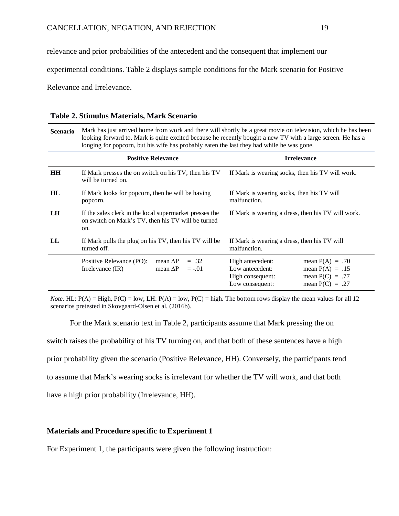relevance and prior probabilities of the antecedent and the consequent that implement our

experimental conditions. Table 2 displays sample conditions for the Mark scenario for Positive

Relevance and Irrelevance.

## **Table 2. Stimulus Materials, Mark Scenario**

**Scenario** Mark has just arrived home from work and there will shortly be a great movie on television, which he has been looking forward to. Mark is quite excited because he recently bought a new TV with a large screen. He has a longing for popcorn, but his wife has probably eaten the last they had while he was gone.

|           | <b>Positive Relevance</b>                                                                                            | <b>Irrelevance</b>                                                                                                                                             |  |  |
|-----------|----------------------------------------------------------------------------------------------------------------------|----------------------------------------------------------------------------------------------------------------------------------------------------------------|--|--|
| <b>HH</b> | If Mark presses the on switch on his TV, then his TV<br>will be turned on.                                           | If Mark is wearing socks, then his TV will work.                                                                                                               |  |  |
| HL        | If Mark looks for popcorn, then he will be having<br>popcorn.                                                        | If Mark is wearing socks, then his TV will<br>malfunction.                                                                                                     |  |  |
| LH        | If the sales clerk in the local supermarket presses the<br>on switch on Mark's TV, then his TV will be turned<br>on. | If Mark is wearing a dress, then his TV will work.                                                                                                             |  |  |
| LL        | If Mark pulls the plug on his TV, then his TV will be<br>turned off.                                                 | If Mark is wearing a dress, then his TV will<br>malfunction.                                                                                                   |  |  |
|           | mean $\Delta P$<br>$=.32$<br>Positive Relevance (PO):<br>mean $\Delta P$<br>$= -0.01$<br>Irrelevance (IR)            | mean $P(A) = .70$<br>High antecedent:<br>Low antecedent:<br>mean $P(A) = .15$<br>mean $P(C) = .77$<br>High consequent:<br>mean $P(C) = .27$<br>Low consequent: |  |  |

*Note*. HL:  $P(A) = High, P(C) = low; LH: P(A) = low, P(C) = high. The bottom rows display the mean values for all 12$ scenarios pretested in Skovgaard-Olsen et al. (2016b).

For the Mark scenario text in Table 2, participants assume that Mark pressing the on switch raises the probability of his TV turning on, and that both of these sentences have a high prior probability given the scenario (Positive Relevance, HH). Conversely, the participants tend to assume that Mark's wearing socks is irrelevant for whether the TV will work, and that both have a high prior probability (Irrelevance, HH).

# **Materials and Procedure specific to Experiment 1**

For Experiment 1, the participants were given the following instruction: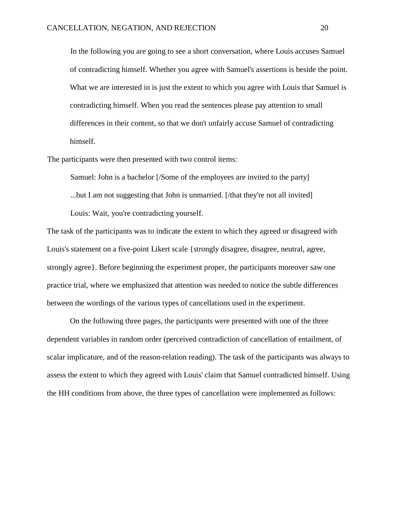In the following you are going to see a short conversation, where Louis accuses Samuel of contradicting himself. Whether you agree with Samuel's assertions is beside the point. What we are interested in is just the extent to which you agree with Louis that Samuel is contradicting himself. When you read the sentences please pay attention to small differences in their content, so that we don't unfairly accuse Samuel of contradicting himself.

The participants were then presented with two control items:

Samuel: John is a bachelor [/Some of the employees are invited to the party] ...but I am not suggesting that John is unmarried. [/that they're not all invited] Louis: Wait, you're contradicting yourself.

The task of the participants was to indicate the extent to which they agreed or disagreed with Louis's statement on a five-point Likert scale {strongly disagree, disagree, neutral, agree, strongly agree}. Before beginning the experiment proper, the participants moreover saw one practice trial, where we emphasized that attention was needed to notice the subtle differences between the wordings of the various types of cancellations used in the experiment.

On the following three pages, the participants were presented with one of the three dependent variables in random order (perceived contradiction of cancellation of entailment, of scalar implicature, and of the reason-relation reading). The task of the participants was always to assess the extent to which they agreed with Louis' claim that Samuel contradicted himself. Using the HH conditions from above, the three types of cancellation were implemented as follows: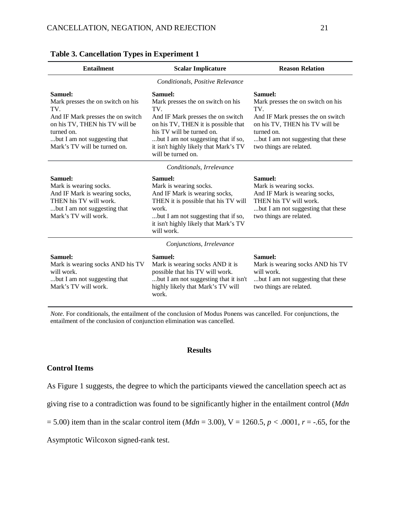| <b>Entailment</b>                                                                                                                                                                                        | <b>Scalar Implicature</b>                                                                                                                                                                                                                                          | <b>Reason Relation</b>                                                                                                                                                                                    |  |
|----------------------------------------------------------------------------------------------------------------------------------------------------------------------------------------------------------|--------------------------------------------------------------------------------------------------------------------------------------------------------------------------------------------------------------------------------------------------------------------|-----------------------------------------------------------------------------------------------------------------------------------------------------------------------------------------------------------|--|
| Conditionals, Positive Relevance                                                                                                                                                                         |                                                                                                                                                                                                                                                                    |                                                                                                                                                                                                           |  |
| Samuel:<br>Mark presses the on switch on his<br>TV.<br>And IF Mark presses the on switch<br>on his TV, THEN his TV will be<br>turned on.<br>but I am not suggesting that<br>Mark's TV will be turned on. | Samuel:<br>Mark presses the on switch on his<br>TV.<br>And IF Mark presses the on switch<br>on his TV, THEN it is possible that<br>his TV will be turned on.<br>but I am not suggesting that if so,<br>it isn't highly likely that Mark's TV<br>will be turned on. | Samuel:<br>Mark presses the on switch on his<br>TV.<br>And IF Mark presses the on switch<br>on his TV, THEN his TV will be<br>turned on.<br>but I am not suggesting that these<br>two things are related. |  |
| Conditionals, Irrelevance                                                                                                                                                                                |                                                                                                                                                                                                                                                                    |                                                                                                                                                                                                           |  |
| Samuel:<br>Mark is wearing socks.<br>And IF Mark is wearing socks,<br>THEN his TV will work.<br>but I am not suggesting that<br>Mark's TV will work.                                                     | Samuel:<br>Mark is wearing socks.<br>And IF Mark is wearing socks,<br>THEN it is possible that his TV will<br>work.<br>but I am not suggesting that if so,<br>it isn't highly likely that Mark's TV<br>will work.                                                  | Samuel:<br>Mark is wearing socks.<br>And IF Mark is wearing socks,<br>THEN his TV will work.<br>but I am not suggesting that these<br>two things are related.                                             |  |
|                                                                                                                                                                                                          | Conjunctions, Irrelevance                                                                                                                                                                                                                                          |                                                                                                                                                                                                           |  |
| Samuel:<br>Mark is wearing socks AND his TV<br>will work.<br>but I am not suggesting that<br>Mark's TV will work.                                                                                        | Samuel:<br>Mark is wearing socks AND it is<br>possible that his TV will work.<br>but I am not suggesting that it isn't<br>highly likely that Mark's TV will<br>work.                                                                                               | Samuel:<br>Mark is wearing socks AND his TV<br>will work.<br>but I am not suggesting that these<br>two things are related.                                                                                |  |

# **Table 3. Cancellation Types in Experiment 1**

*Note*. For conditionals, the entailment of the conclusion of Modus Ponens was cancelled. For conjunctions, the entailment of the conclusion of conjunction elimination was cancelled.

# **Results**

# **Control Items**

As Figure 1 suggests, the degree to which the participants viewed the cancellation speech act as

giving rise to a contradiction was found to be significantly higher in the entailment control (*Mdn*

 $= 5.00$ ) item than in the scalar control item (*Mdn* = 3.00), V = 1260.5, *p* < .0001, *r* = -.65, for the

Asymptotic Wilcoxon signed-rank test.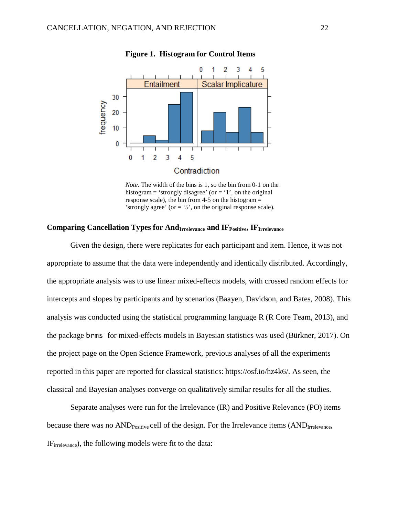

# **Figure 1. Histogram for Control Items**

*Note.* The width of the bins is 1, so the bin from 0-1 on the histogram = 'strongly disagree' (or  $=$  '1', on the original response scale), the bin from  $4-5$  on the histogram  $=$ 'strongly agree' (or = '5', on the original response scale).

# **Comparing Cancellation Types for And<sub>Irrelevance</sub> and IF<sub>Positive</sub>, IF<sub>Irrelevance</sub>**

Given the design, there were replicates for each participant and item. Hence, it was not appropriate to assume that the data were independently and identically distributed. Accordingly, the appropriate analysis was to use linear mixed-effects models, with crossed random effects for intercepts and slopes by participants and by scenarios (Baayen, Davidson, and Bates, 2008). This analysis was conducted using the statistical programming language R (R Core Team, 2013), and the package brms for mixed-effects models in Bayesian statistics was used (Bürkner, 2017). On the project page on the Open Science Framework, previous analyses of all the experiments reported in this paper are reported for classical statistics: [https://osf.io/hz4k6/.](https://osf.io/hz4k6/) As seen, the classical and Bayesian analyses converge on qualitatively similar results for all the studies.

Separate analyses were run for the Irrelevance (IR) and Positive Relevance (PO) items because there was no  $AND_{Positive}$  cell of the design. For the Irrelevance items  $(AND_{Irrelevant}$ IFirrelevance), the following models were fit to the data: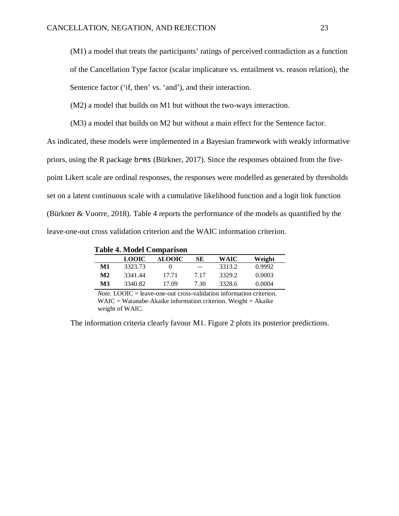(M1) a model that treats the participants' ratings of perceived contradiction as a function of the Cancellation Type factor (scalar implicature vs. entailment vs. reason relation), the Sentence factor ('if, then' vs. 'and'), and their interaction.

(M2) a model that builds on M1 but without the two-ways interaction.

(M3) a model that builds on M2 but without a main effect for the Sentence factor.

As indicated, these models were implemented in a Bayesian framework with weakly informative priors, using the R package brms (Bürkner, 2017). Since the responses obtained from the fivepoint Likert scale are ordinal responses, the responses were modelled as generated by thresholds set on a latent continuous scale with a cumulative likelihood function and a logit link function (Bürkner & Vuorre, 2018). Table 4 reports the performance of the models as quantified by the leave-one-out cross validation criterion and the WAIC information criterion.

 **Table 4. Model Comparison**

|    |              | $\cdots$ $\cdots$ $\cdots$ $\cdots$ |       |        |        |  |
|----|--------------|-------------------------------------|-------|--------|--------|--|
|    | <b>LOOIC</b> | ALOOIC                              | SЕ    | WAIC   | Weight |  |
| M1 | 3323.73      |                                     | $- -$ | 3313.2 | 0.9992 |  |
| M2 | 3341.44      | 17.71                               | 717   | 3329.2 | 0.0003 |  |
| M3 | 3340.82      | 17.09                               | 7.30  | 3328.6 | 0.0004 |  |

*Note.* LOOIC = leave-one-out cross-validation information criterion.  $WAIC = Watanabe-Akaike information criterion. Weight = Akaike$ weight of WAIC.

The information criteria clearly favour M1. Figure 2 plots its posterior predictions.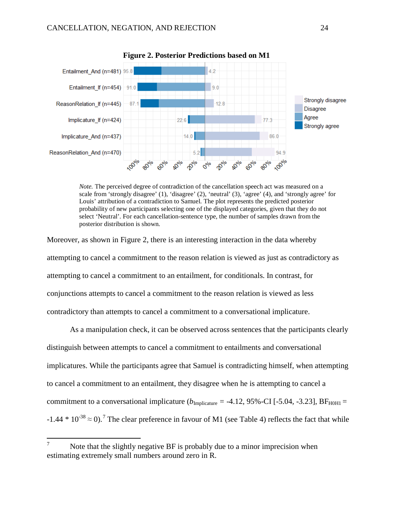

 **Figure 2. Posterior Predictions based on M1**

*Note*. The perceived degree of contradiction of the cancellation speech act was measured on a scale from 'strongly disagree' (1), 'disagree' (2), 'neutral' (3), 'agree' (4), and 'strongly agree' for Louis' attribution of a contradiction to Samuel. The plot represents the predicted posterior probability of new participants selecting one of the displayed categories, given that they do not select 'Neutral'. For each cancellation-sentence type, the number of samples drawn from the posterior distribution is shown.

Moreover, as shown in Figure 2, there is an interesting interaction in the data whereby attempting to cancel a commitment to the reason relation is viewed as just as contradictory as attempting to cancel a commitment to an entailment, for conditionals. In contrast, for conjunctions attempts to cancel a commitment to the reason relation is viewed as less contradictory than attempts to cancel a commitment to a conversational implicature.

As a manipulation check, it can be observed across sentences that the participants clearly distinguish between attempts to cancel a commitment to entailments and conversational implicatures. While the participants agree that Samuel is contradicting himself, when attempting to cancel a commitment to an entailment, they disagree when he is attempting to cancel a commitment to a conversational implicature ( $b_{\text{Imnlicative}} = -4.12$ , 95%-CI [-5.04, -3.23], BF<sub>H0H1</sub> =  $-1.44 * 10^{-38} \approx 0$ ).<sup>[7](#page-24-0)</sup> The clear preference in favour of M1 (see Table 4) reflects the fact that while

<span id="page-24-0"></span> $7\degree$  Note that the slightly negative BF is probably due to a minor imprecision when estimating extremely small numbers around zero in R.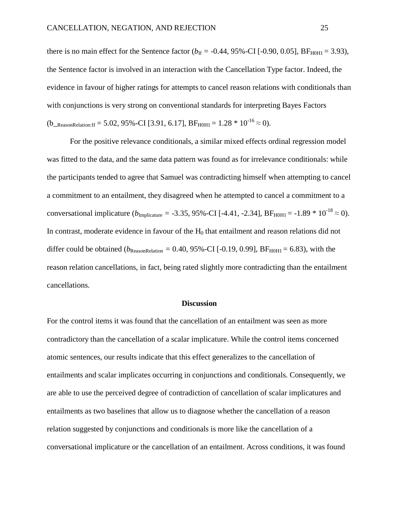there is no main effect for the Sentence factor ( $b_{\text{If}} = -0.44, 95\%$ -CI [ $-0.90, 0.05$ ], BF<sub>H0H1</sub> = 3.93), the Sentence factor is involved in an interaction with the Cancellation Type factor. Indeed, the evidence in favour of higher ratings for attempts to cancel reason relations with conditionals than with conjunctions is very strong on conventional standards for interpreting Bayes Factors  $(b$ <sub>ReasonRelation:If</sub> = 5.02, 95%-CI [3.91, 6.17],  $BF_{H0H1} = 1.28 * 10^{-16} \approx 0$ .

For the positive relevance conditionals, a similar mixed effects ordinal regression model was fitted to the data, and the same data pattern was found as for irrelevance conditionals: while the participants tended to agree that Samuel was contradicting himself when attempting to cancel a commitment to an entailment, they disagreed when he attempted to cancel a commitment to a conversational implicature ( $b_{\text{Implicature}} = -3.35, 95\%$ -CI [-4.41, -2.34], BF<sub>H0H1</sub> = -1.89  $*10^{-18} \approx 0$ ). In contrast, moderate evidence in favour of the  $H_0$  that entailment and reason relations did not differ could be obtained ( $b_{\text{ReasonRelation}} = 0.40, 95\%$ -CI [-0.19, 0.99],  $BF_{H0H1} = 6.83$ ), with the reason relation cancellations, in fact, being rated slightly more contradicting than the entailment cancellations.

### **Discussion**

For the control items it was found that the cancellation of an entailment was seen as more contradictory than the cancellation of a scalar implicature. While the control items concerned atomic sentences, our results indicate that this effect generalizes to the cancellation of entailments and scalar implicates occurring in conjunctions and conditionals. Consequently, we are able to use the perceived degree of contradiction of cancellation of scalar implicatures and entailments as two baselines that allow us to diagnose whether the cancellation of a reason relation suggested by conjunctions and conditionals is more like the cancellation of a conversational implicature or the cancellation of an entailment. Across conditions, it was found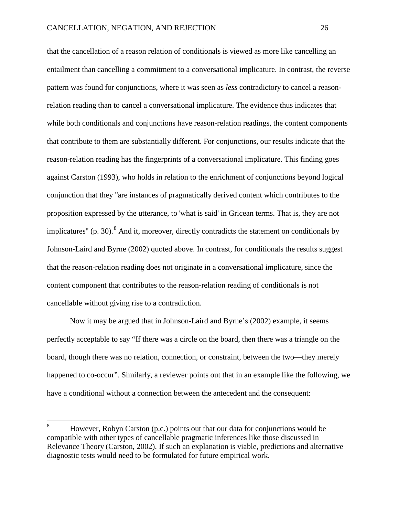that the cancellation of a reason relation of conditionals is viewed as more like cancelling an entailment than cancelling a commitment to a conversational implicature. In contrast, the reverse pattern was found for conjunctions, where it was seen as *less* contradictory to cancel a reasonrelation reading than to cancel a conversational implicature. The evidence thus indicates that while both conditionals and conjunctions have reason-relation readings, the content components that contribute to them are substantially different. For conjunctions, our results indicate that the reason-relation reading has the fingerprints of a conversational implicature. This finding goes against Carston (1993), who holds in relation to the enrichment of conjunctions beyond logical conjunction that they "are instances of pragmatically derived content which contributes to the proposition expressed by the utterance, to 'what is said' in Gricean terms. That is, they are not implicatures" (p. 30).  $8$  And it, moreover, directly contradicts the statement on conditionals by Johnson-Laird and Byrne (2002) quoted above. In contrast, for conditionals the results suggest that the reason-relation reading does not originate in a conversational implicature, since the content component that contributes to the reason-relation reading of conditionals is not cancellable without giving rise to a contradiction.

Now it may be argued that in Johnson-Laird and Byrne's (2002) example, it seems perfectly acceptable to say "If there was a circle on the board, then there was a triangle on the board, though there was no relation, connection, or constraint, between the two—they merely happened to co-occur". Similarly, a reviewer points out that in an example like the following, we have a conditional without a connection between the antecedent and the consequent:

<span id="page-26-0"></span> <sup>8</sup> However, Robyn Carston (p.c.) points out that our data for conjunctions would be compatible with other types of cancellable pragmatic inferences like those discussed in Relevance Theory (Carston, 2002). If such an explanation is viable, predictions and alternative diagnostic tests would need to be formulated for future empirical work.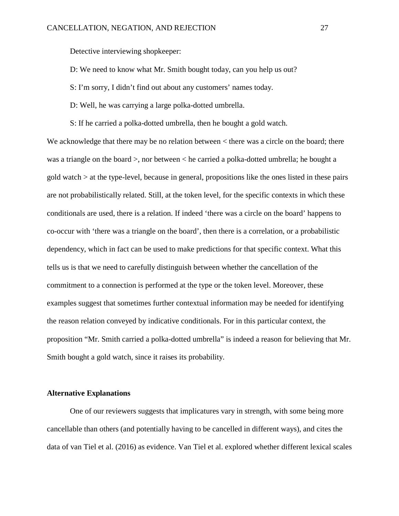Detective interviewing shopkeeper:

D: We need to know what Mr. Smith bought today, can you help us out?

S: I'm sorry, I didn't find out about any customers' names today.

D: Well, he was carrying a large polka-dotted umbrella.

S: If he carried a polka-dotted umbrella, then he bought a gold watch.

We acknowledge that there may be no relation between  $\lt$  there was a circle on the board; there was a triangle on the board >, nor between < he carried a polka-dotted umbrella; he bought a gold watch > at the type-level, because in general, propositions like the ones listed in these pairs are not probabilistically related. Still, at the token level, for the specific contexts in which these conditionals are used, there is a relation. If indeed 'there was a circle on the board' happens to co-occur with 'there was a triangle on the board', then there is a correlation, or a probabilistic dependency, which in fact can be used to make predictions for that specific context. What this tells us is that we need to carefully distinguish between whether the cancellation of the commitment to a connection is performed at the type or the token level. Moreover, these examples suggest that sometimes further contextual information may be needed for identifying the reason relation conveyed by indicative conditionals. For in this particular context, the proposition "Mr. Smith carried a polka-dotted umbrella" is indeed a reason for believing that Mr. Smith bought a gold watch, since it raises its probability.

# **Alternative Explanations**

One of our reviewers suggests that implicatures vary in strength, with some being more cancellable than others (and potentially having to be cancelled in different ways), and cites the data of van Tiel et al. (2016) as evidence. Van Tiel et al. explored whether different lexical scales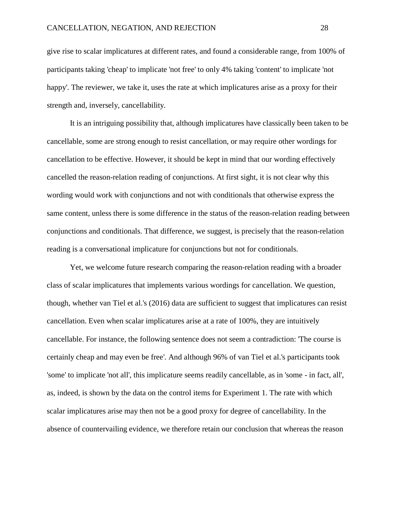give rise to scalar implicatures at different rates, and found a considerable range, from 100% of participants taking 'cheap' to implicate 'not free' to only 4% taking 'content' to implicate 'not happy'. The reviewer, we take it, uses the rate at which implicatures arise as a proxy for their strength and, inversely, cancellability.

It is an intriguing possibility that, although implicatures have classically been taken to be cancellable, some are strong enough to resist cancellation, or may require other wordings for cancellation to be effective. However, it should be kept in mind that our wording effectively cancelled the reason-relation reading of conjunctions. At first sight, it is not clear why this wording would work with conjunctions and not with conditionals that otherwise express the same content, unless there is some difference in the status of the reason-relation reading between conjunctions and conditionals. That difference, we suggest, is precisely that the reason-relation reading is a conversational implicature for conjunctions but not for conditionals.

Yet, we welcome future research comparing the reason-relation reading with a broader class of scalar implicatures that implements various wordings for cancellation. We question, though, whether van Tiel et al.'s (2016) data are sufficient to suggest that implicatures can resist cancellation. Even when scalar implicatures arise at a rate of 100%, they are intuitively cancellable. For instance, the following sentence does not seem a contradiction: 'The course is certainly cheap and may even be free'. And although 96% of van Tiel et al.'s participants took 'some' to implicate 'not all', this implicature seems readily cancellable, as in 'some - in fact, all', as, indeed, is shown by the data on the control items for Experiment 1. The rate with which scalar implicatures arise may then not be a good proxy for degree of cancellability. In the absence of countervailing evidence, we therefore retain our conclusion that whereas the reason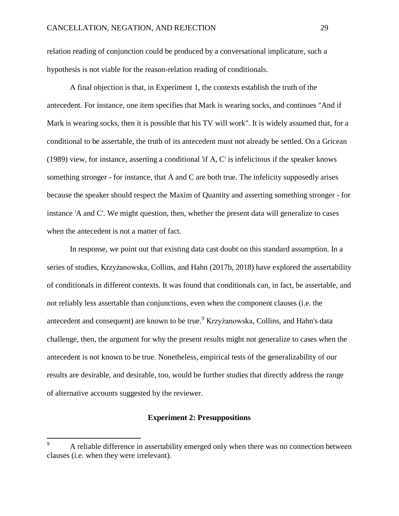relation reading of conjunction could be produced by a conversational implicature, such a hypothesis is not viable for the reason-relation reading of conditionals.

A final objection is that, in Experiment 1, the contexts establish the truth of the antecedent. For instance, one item specifies that Mark is wearing socks, and continues "And if Mark is wearing socks, then it is possible that his TV will work". It is widely assumed that, for a conditional to be assertable, the truth of its antecedent must not already be settled. On a Gricean (1989) view, for instance, asserting a conditional 'if A, C' is infelicitous if the speaker knows something stronger - for instance, that A and C are both true. The infelicity supposedly arises because the speaker should respect the Maxim of Quantity and asserting something stronger - for instance 'A and C'. We might question, then, whether the present data will generalize to cases when the antecedent is not a matter of fact.

In response, we point out that existing data cast doubt on this standard assumption. In a series of studies, Krzyżanowska, Collins, and Hahn (2017b, 2018) have explored the assertability of conditionals in different contexts. It was found that conditionals can, in fact, be assertable, and not reliably less assertable than conjunctions, even when the component clauses (i.e. the antecedent and consequent) are known to be true. [9](#page-29-0) Krzyżanowska, Collins, and Hahn's data challenge, then, the argument for why the present results might not generalize to cases when the antecedent is not known to be true. Nonetheless, empirical tests of the generalizability of our results are desirable, and desirable, too, would be further studies that directly address the range of alternative accounts suggested by the reviewer.

## **Experiment 2: Presuppositions**

<span id="page-29-0"></span> <sup>9</sup> <sup>A</sup> reliable difference in assertability emerged only when there was no connection between clauses (i.e. when they were irrelevant).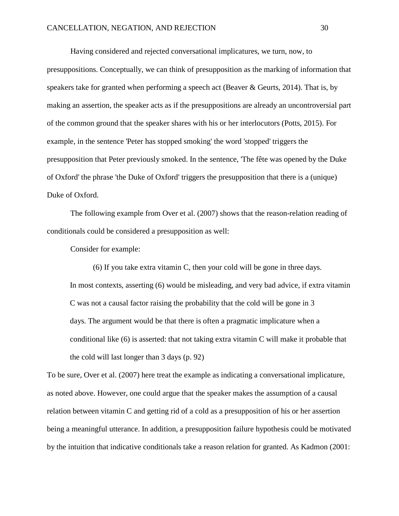Having considered and rejected conversational implicatures, we turn, now, to presuppositions. Conceptually, we can think of presupposition as the marking of information that speakers take for granted when performing a speech act (Beaver & Geurts, 2014). That is, by making an assertion, the speaker acts as if the presuppositions are already an uncontroversial part of the common ground that the speaker shares with his or her interlocutors (Potts, 2015). For example, in the sentence 'Peter has stopped smoking' the word 'stopped' triggers the presupposition that Peter previously smoked. In the sentence, 'The fête was opened by the Duke of Oxford' the phrase 'the Duke of Oxford' triggers the presupposition that there is a (unique) Duke of Oxford.

The following example from Over et al. (2007) shows that the reason-relation reading of conditionals could be considered a presupposition as well:

Consider for example:

(6) If you take extra vitamin C, then your cold will be gone in three days. In most contexts, asserting (6) would be misleading, and very bad advice, if extra vitamin C was not a causal factor raising the probability that the cold will be gone in 3 days. The argument would be that there is often a pragmatic implicature when a conditional like (6) is asserted: that not taking extra vitamin C will make it probable that the cold will last longer than 3 days (p. 92)

To be sure, Over et al. (2007) here treat the example as indicating a conversational implicature, as noted above. However, one could argue that the speaker makes the assumption of a causal relation between vitamin C and getting rid of a cold as a presupposition of his or her assertion being a meaningful utterance. In addition, a presupposition failure hypothesis could be motivated by the intuition that indicative conditionals take a reason relation for granted. As Kadmon (2001: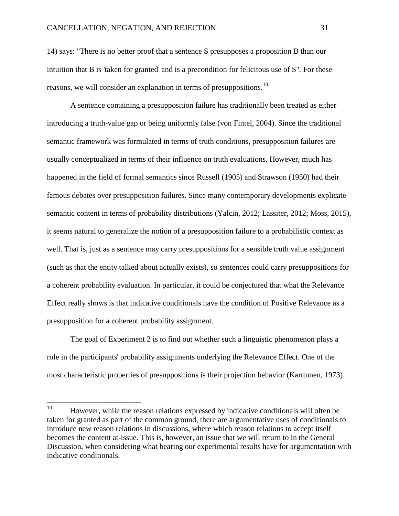14) says: "There is no better proof that a sentence S presupposes a proposition B than our intuition that B is 'taken for granted' and is a precondition for felicitous use of S". For these reasons, we will consider an explanation in terms of presuppositions.<sup>[10](#page-31-0)</sup>

A sentence containing a presupposition failure has traditionally been treated as either introducing a truth-value gap or being uniformly false (von Fintel, 2004). Since the traditional semantic framework was formulated in terms of truth conditions, presupposition failures are usually conceptualized in terms of their influence on truth evaluations. However, much has happened in the field of formal semantics since Russell (1905) and Strawson (1950) had their famous debates over presupposition failures. Since many contemporary developments explicate semantic content in terms of probability distributions (Yalcin, 2012; Lassiter, 2012; Moss, 2015), it seems natural to generalize the notion of a presupposition failure to a probabilistic context as well. That is, just as a sentence may carry presuppositions for a sensible truth value assignment (such as that the entity talked about actually exists), so sentences could carry presuppositions for a coherent probability evaluation. In particular, it could be conjectured that what the Relevance Effect really shows is that indicative conditionals have the condition of Positive Relevance as a presupposition for a coherent probability assignment.

The goal of Experiment 2 is to find out whether such a linguistic phenomenon plays a role in the participants' probability assignments underlying the Relevance Effect. One of the most characteristic properties of presuppositions is their projection behavior (Karttunen, 1973).

<span id="page-31-0"></span><sup>&</sup>lt;sup>10</sup> However, while the reason relations expressed by indicative conditionals will often be taken for granted as part of the common ground, there are argumentative uses of conditionals to introduce new reason relations in discussions, where which reason relations to accept itself becomes the content at-issue. This is, however, an issue that we will return to in the General Discussion, when considering what bearing our experimental results have for argumentation with indicative conditionals.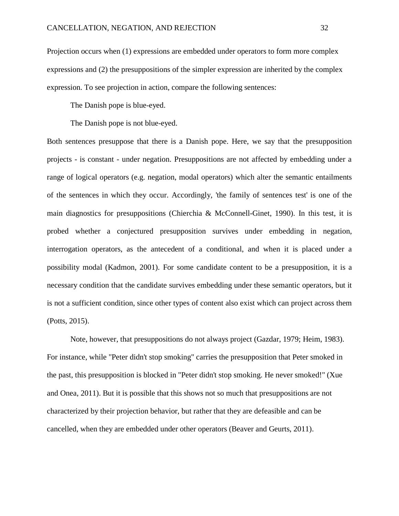Projection occurs when (1) expressions are embedded under operators to form more complex expressions and (2) the presuppositions of the simpler expression are inherited by the complex expression. To see projection in action, compare the following sentences:

The Danish pope is blue-eyed.

The Danish pope is not blue-eyed.

Both sentences presuppose that there is a Danish pope. Here, we say that the presupposition projects - is constant - under negation. Presuppositions are not affected by embedding under a range of logical operators (e.g. negation, modal operators) which alter the semantic entailments of the sentences in which they occur. Accordingly, 'the family of sentences test' is one of the main diagnostics for presuppositions (Chierchia & McConnell-Ginet, 1990). In this test, it is probed whether a conjectured presupposition survives under embedding in negation, interrogation operators, as the antecedent of a conditional, and when it is placed under a possibility modal (Kadmon, 2001). For some candidate content to be a presupposition, it is a necessary condition that the candidate survives embedding under these semantic operators, but it is not a sufficient condition, since other types of content also exist which can project across them (Potts, 2015).

Note, however, that presuppositions do not always project (Gazdar, 1979; Heim, 1983). For instance, while "Peter didn't stop smoking" carries the presupposition that Peter smoked in the past, this presupposition is blocked in "Peter didn't stop smoking. He never smoked!" (Xue and Onea, 2011). But it is possible that this shows not so much that presuppositions are not characterized by their projection behavior, but rather that they are defeasible and can be cancelled, when they are embedded under other operators (Beaver and Geurts, 2011).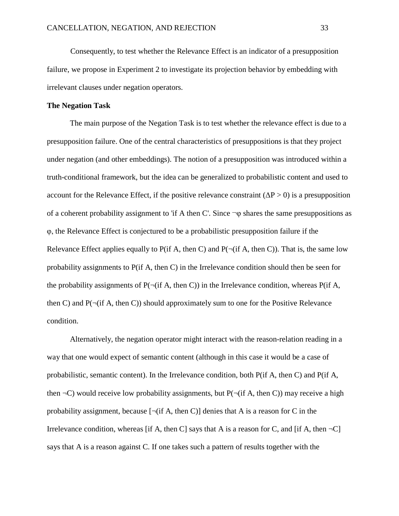Consequently, to test whether the Relevance Effect is an indicator of a presupposition failure, we propose in Experiment 2 to investigate its projection behavior by embedding with irrelevant clauses under negation operators.

# **The Negation Task**

The main purpose of the Negation Task is to test whether the relevance effect is due to a presupposition failure. One of the central characteristics of presuppositions is that they project under negation (and other embeddings). The notion of a presupposition was introduced within a truth-conditional framework, but the idea can be generalized to probabilistic content and used to account for the Relevance Effect, if the positive relevance constraint  $(\Delta P > 0)$  is a presupposition of a coherent probability assignment to 'if A then C'. Since  $\neg \varphi$  shares the same presuppositions as φ, the Relevance Effect is conjectured to be a probabilistic presupposition failure if the Relevance Effect applies equally to P(if A, then C) and  $P(\neg$  (if A, then C)). That is, the same low probability assignments to P(if A, then C) in the Irrelevance condition should then be seen for the probability assignments of  $P(\neg$ (if A, then C)) in the Irrelevance condition, whereas P(if A, then C) and  $P(\neg$ (if A, then C)) should approximately sum to one for the Positive Relevance condition.

Alternatively, the negation operator might interact with the reason-relation reading in a way that one would expect of semantic content (although in this case it would be a case of probabilistic, semantic content). In the Irrelevance condition, both P(if A, then C) and P(if A, then  $\neg$ C) would receive low probability assignments, but P( $\neg$ (if A, then C)) may receive a high probability assignment, because  $[\neg$  (if A, then C)] denies that A is a reason for C in the Irrelevance condition, whereas [if A, then C] says that A is a reason for C, and [if A, then  $\neg$ C] says that A is a reason against C. If one takes such a pattern of results together with the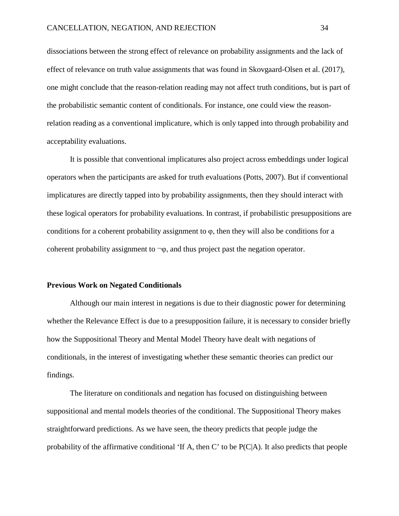dissociations between the strong effect of relevance on probability assignments and the lack of effect of relevance on truth value assignments that was found in Skovgaard-Olsen et al. (2017), one might conclude that the reason-relation reading may not affect truth conditions, but is part of the probabilistic semantic content of conditionals. For instance, one could view the reasonrelation reading as a conventional implicature, which is only tapped into through probability and acceptability evaluations.

It is possible that conventional implicatures also project across embeddings under logical operators when the participants are asked for truth evaluations (Potts, 2007). But if conventional implicatures are directly tapped into by probability assignments, then they should interact with these logical operators for probability evaluations. In contrast, if probabilistic presuppositions are conditions for a coherent probability assignment to  $\varphi$ , then they will also be conditions for a coherent probability assignment to  $\neg \varphi$ , and thus project past the negation operator.

#### **Previous Work on Negated Conditionals**

Although our main interest in negations is due to their diagnostic power for determining whether the Relevance Effect is due to a presupposition failure, it is necessary to consider briefly how the Suppositional Theory and Mental Model Theory have dealt with negations of conditionals, in the interest of investigating whether these semantic theories can predict our findings.

The literature on conditionals and negation has focused on distinguishing between suppositional and mental models theories of the conditional. The Suppositional Theory makes straightforward predictions. As we have seen, the theory predicts that people judge the probability of the affirmative conditional 'If A, then C' to be P(C|A). It also predicts that people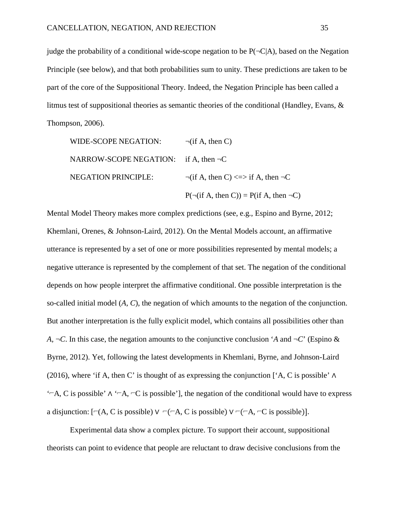judge the probability of a conditional wide-scope negation to be  $P(\neg C|A)$ , based on the Negation Principle (see below), and that both probabilities sum to unity. These predictions are taken to be part of the core of the Suppositional Theory. Indeed, the Negation Principle has been called a litmus test of suppositional theories as semantic theories of the conditional (Handley, Evans, & Thompson, 2006).

| WIDE-SCOPE NEGATION:                       | $\neg$ (if A, then C)                            |
|--------------------------------------------|--------------------------------------------------|
| NARROW-SCOPE NEGATION: if A, then $\neg$ C |                                                  |
| <b>NEGATION PRINCIPLE:</b>                 | $\neg$ (if A, then C) <=> if A, then $\neg$ C    |
|                                            | $P(\neg(i f A, then C)) = P(i f A, then \neg C)$ |

Mental Model Theory makes more complex predictions (see, e.g., Espino and Byrne, 2012; Khemlani, Orenes, & Johnson-Laird, 2012). On the Mental Models account, an affirmative utterance is represented by a set of one or more possibilities represented by mental models; a negative utterance is represented by the complement of that set. The negation of the conditional depends on how people interpret the affirmative conditional. One possible interpretation is the so-called initial model (*A, C*), the negation of which amounts to the negation of the conjunction. But another interpretation is the fully explicit model, which contains all possibilities other than *A*,  $\neg C$ . In this case, the negation amounts to the conjunctive conclusion '*A* and  $\neg C$ ' (Espino & Byrne, 2012). Yet, following the latest developments in Khemlani, Byrne, and Johnson-Laird (2016), where 'if A, then C' is thought of as expressing the conjunction ['A, C is possible'  $\wedge$  $\div$ A, C is possible'  $\land \div$ A,  $\neg$ C is possible'], the negation of the conditional would have to express a disjunction:  $\lceil \lceil (A, C \rceil) \rceil$  is possible)  $\vee \lceil (A, C \rceil) \rceil$  ( $\lceil (A, C \rceil) \rceil$ ).

Experimental data show a complex picture. To support their account, suppositional theorists can point to evidence that people are reluctant to draw decisive conclusions from the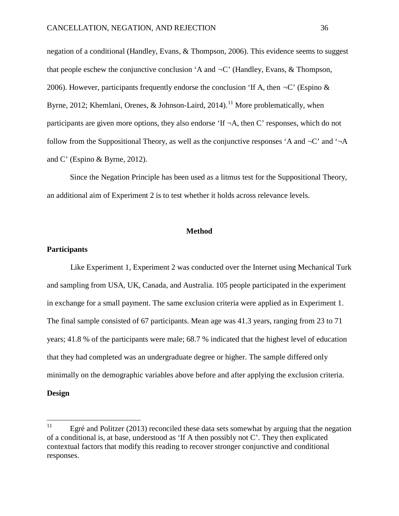negation of a conditional (Handley, Evans, & Thompson, 2006). This evidence seems to suggest that people eschew the conjunctive conclusion 'A and *¬*C' (Handley, Evans, & Thompson, 2006). However, participants frequently endorse the conclusion 'If A, then *¬*C' (Espino & Byrne, 2012; Khemlani, Orenes, & Johnson-Laird, 2014).<sup>[11](#page-36-0)</sup> More problematically, when participants are given more options, they also endorse 'If  $\neg A$ , then C' responses, which do not follow from the Suppositional Theory, as well as the conjunctive responses 'A and  $\neg$ C' and ' $\neg$ A and C' (Espino & Byrne, 2012).

Since the Negation Principle has been used as a litmus test for the Suppositional Theory, an additional aim of Experiment 2 is to test whether it holds across relevance levels.

#### **Method**

## **Participants**

Like Experiment 1, Experiment 2 was conducted over the Internet using Mechanical Turk and sampling from USA, UK, Canada, and Australia. 105 people participated in the experiment in exchange for a small payment. The same exclusion criteria were applied as in Experiment 1. The final sample consisted of 67 participants. Mean age was 41.3 years, ranging from 23 to 71 years; 41.8 % of the participants were male; 68.7 % indicated that the highest level of education that they had completed was an undergraduate degree or higher. The sample differed only minimally on the demographic variables above before and after applying the exclusion criteria.

## **Design**

<span id="page-36-0"></span><sup>&</sup>lt;sup>11</sup> Egré and Politzer (2013) reconciled these data sets somewhat by arguing that the negation of a conditional is, at base, understood as 'If A then possibly not C'. They then explicated contextual factors that modify this reading to recover stronger conjunctive and conditional responses.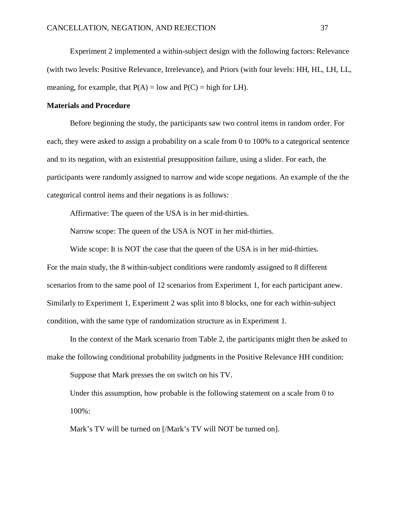Experiment 2 implemented a within-subject design with the following factors: Relevance (with two levels: Positive Relevance, Irrelevance), and Priors (with four levels: HH, HL, LH, LL, meaning, for example, that  $P(A) = low$  and  $P(C) = high$  for LH).

#### **Materials and Procedure**

Before beginning the study, the participants saw two control items in random order. For each, they were asked to assign a probability on a scale from 0 to 100% to a categorical sentence and to its negation, with an existential presupposition failure, using a slider. For each, the participants were randomly assigned to narrow and wide scope negations. An example of the the categorical control items and their negations is as follows:

Affirmative: The queen of the USA is in her mid-thirties.

Narrow scope: The queen of the USA is NOT in her mid-thirties.

Wide scope: It is NOT the case that the queen of the USA is in her mid-thirties. For the main study, the 8 within-subject conditions were randomly assigned to 8 different scenarios from to the same pool of 12 scenarios from Experiment 1, for each participant anew. Similarly to Experiment 1, Experiment 2 was split into 8 blocks, one for each within-subject condition, with the same type of randomization structure as in Experiment 1.

In the context of the Mark scenario from Table 2, the participants might then be asked to make the following conditional probability judgments in the Positive Relevance HH condition:

Suppose that Mark presses the on switch on his TV.

Under this assumption, how probable is the following statement on a scale from 0 to 100%:

Mark's TV will be turned on [/Mark's TV will NOT be turned on].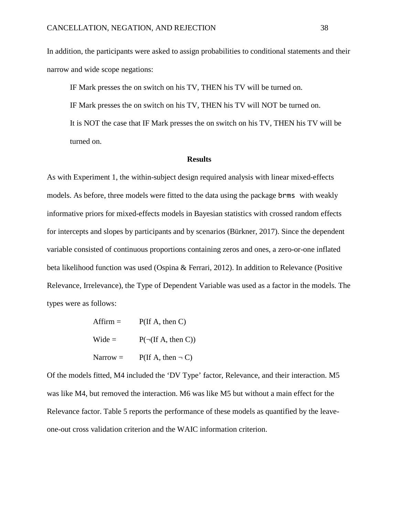In addition, the participants were asked to assign probabilities to conditional statements and their narrow and wide scope negations:

IF Mark presses the on switch on his TV, THEN his TV will be turned on.

IF Mark presses the on switch on his TV, THEN his TV will NOT be turned on. It is NOT the case that IF Mark presses the on switch on his TV, THEN his TV will be turned on.

#### **Results**

As with Experiment 1, the within-subject design required analysis with linear mixed-effects models. As before, three models were fitted to the data using the package brms with weakly informative priors for mixed-effects models in Bayesian statistics with crossed random effects for intercepts and slopes by participants and by scenarios (Bürkner, 2017). Since the dependent variable consisted of continuous proportions containing zeros and ones, a zero-or-one inflated beta likelihood function was used (Ospina & Ferrari, 2012). In addition to Relevance (Positive Relevance, Irrelevance), the Type of Dependent Variable was used as a factor in the models. The types were as follows:

| Affirm $=$      | $P(\text{If } A, \text{ then } C)$      |  |  |
|-----------------|-----------------------------------------|--|--|
| $\text{Wide} =$ | $P(\neg (If A, then C))$                |  |  |
| $Narrow =$      | $P(\text{If } A, \text{ then } \neg C)$ |  |  |

Of the models fitted, M4 included the 'DV Type' factor, Relevance, and their interaction. M5 was like M4, but removed the interaction. M6 was like M5 but without a main effect for the Relevance factor. Table 5 reports the performance of these models as quantified by the leaveone-out cross validation criterion and the WAIC information criterion.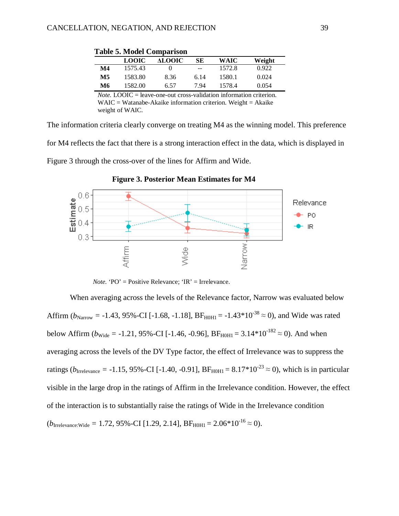|               |              | гаэнс э. глойсг сонграгизон |      |        |        |  |
|---------------|--------------|-----------------------------|------|--------|--------|--|
|               | <b>LOOIC</b> | ALOOIC-                     | SЕ   | WAIC   | Weight |  |
| $\mathbf{M}4$ | 1575.43      |                             | $-1$ | 1572.8 | 0.922  |  |
| M5            | 1583.80      | 8.36                        | 6.14 | 1580.1 | 0.024  |  |
| M6            | 1582.00      | 6.57                        | 7.94 | 1578.4 | 0.054  |  |

 **Table 5. Model Comparison**

*Note.* LOOIC = leave-one-out cross-validation information criterion.  $WAIC = Watanabe-Akaike information criterion. Weight = Akaike$ weight of WAIC.

The information criteria clearly converge on treating M4 as the winning model. This preference

for M4 reflects the fact that there is a strong interaction effect in the data, which is displayed in

Figure 3 through the cross-over of the lines for Affirm and Wide.



 **Figure 3. Posterior Mean Estimates for M4**

When averaging across the levels of the Relevance factor, Narrow was evaluated below Affirm ( $b_{\text{Narrow}}$  = -1.43, 95%-CI [-1.68, -1.18], BF<sub>H0H1</sub> = -1.43\*10<sup>-38</sup>  $\approx$  0), and Wide was rated below Affirm ( $b_{\text{wide}}$  = -1.21, 95%-CI [-1.46, -0.96], BF<sub>H0H1</sub> = 3.14\*10<sup>-182</sup>  $\approx$  0). And when averaging across the levels of the DV Type factor, the effect of Irrelevance was to suppress the ratings ( $b_{\text{Irrelevance}} = -1.15, 95\%$ -CI [-1.40, -0.91],  $BF_{\text{HOH1}} = 8.17*10^{-23} \approx 0$ ), which is in particular visible in the large drop in the ratings of Affirm in the Irrelevance condition. However, the effect of the interaction is to substantially raise the ratings of Wide in the Irrelevance condition  $(b_{\text{Irrelevance: Wide}} = 1.72, 95\% \text{-CI} [1.29, 2.14], BF_{\text{H}OH1} = 2.06*10^{-16} \approx 0).$ 

*Note.*  $'PO' = Positive Relevantance$ ;  $'IR' = Irrelevant$ .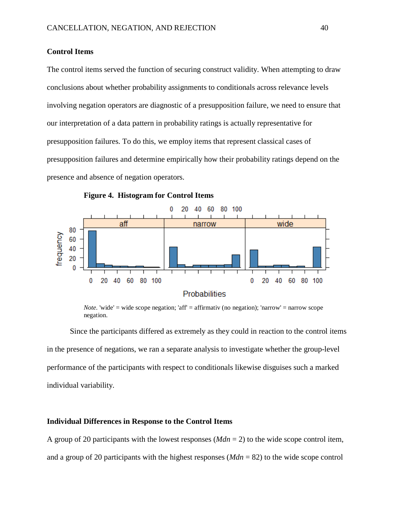# **Control Items**

The control items served the function of securing construct validity. When attempting to draw conclusions about whether probability assignments to conditionals across relevance levels involving negation operators are diagnostic of a presupposition failure, we need to ensure that our interpretation of a data pattern in probability ratings is actually representative for presupposition failures. To do this, we employ items that represent classical cases of presupposition failures and determine empirically how their probability ratings depend on the presence and absence of negation operators.



**Figure 4. Histogram for Control Items**

*Note*. 'wide' = wide scope negation; 'aff' = affirmativ (no negation); 'narrow' = narrow scope negation.

Since the participants differed as extremely as they could in reaction to the control items in the presence of negations, we ran a separate analysis to investigate whether the group-level performance of the participants with respect to conditionals likewise disguises such a marked individual variability.

## **Individual Differences in Response to the Control Items**

A group of 20 participants with the lowest responses  $(Mdn = 2)$  to the wide scope control item, and a group of 20 participants with the highest responses  $(Mdn = 82)$  to the wide scope control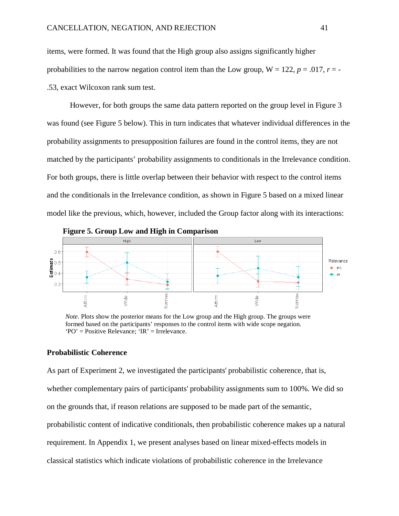items, were formed. It was found that the High group also assigns significantly higher probabilities to the narrow negation control item than the Low group,  $W = 122$ ,  $p = .017$ ,  $r = -$ .53, exact Wilcoxon rank sum test.

However, for both groups the same data pattern reported on the group level in Figure 3 was found (see Figure 5 below). This in turn indicates that whatever individual differences in the probability assignments to presupposition failures are found in the control items, they are not matched by the participants' probability assignments to conditionals in the Irrelevance condition. For both groups, there is little overlap between their behavior with respect to the control items and the conditionals in the Irrelevance condition, as shown in Figure 5 based on a mixed linear model like the previous, which, however, included the Group factor along with its interactions:



*Note.* Plots show the posterior means for the Low group and the High group. The groups were formed based on the participants' responses to the control items with wide scope negation. 'PO' = Positive Relevance; 'IR' = Irrelevance.

## **Probabilistic Coherence**

As part of Experiment 2, we investigated the participants' probabilistic coherence, that is, whether complementary pairs of participants' probability assignments sum to 100%. We did so on the grounds that, if reason relations are supposed to be made part of the semantic, probabilistic content of indicative conditionals, then probabilistic coherence makes up a natural requirement. In Appendix 1, we present analyses based on linear mixed-effects models in classical statistics which indicate violations of probabilistic coherence in the Irrelevance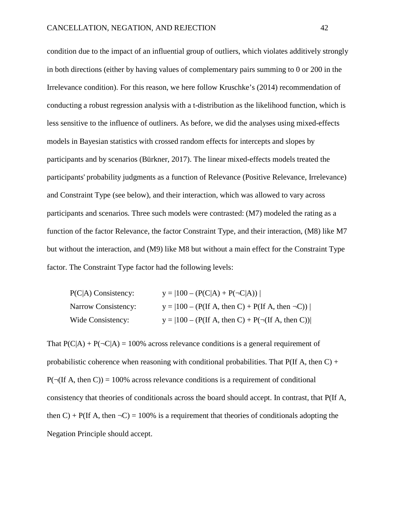condition due to the impact of an influential group of outliers, which violates additively strongly in both directions (either by having values of complementary pairs summing to 0 or 200 in the Irrelevance condition). For this reason, we here follow Kruschke's (2014) recommendation of conducting a robust regression analysis with a t-distribution as the likelihood function, which is less sensitive to the influence of outliners. As before, we did the analyses using mixed-effects models in Bayesian statistics with crossed random effects for intercepts and slopes by participants and by scenarios (Bürkner, 2017). The linear mixed-effects models treated the participants' probability judgments as a function of Relevance (Positive Relevance, Irrelevance) and Constraint Type (see below), and their interaction, which was allowed to vary across participants and scenarios. Three such models were contrasted: (M7) modeled the rating as a function of the factor Relevance, the factor Constraint Type, and their interaction, (M8) like M7 but without the interaction, and (M9) like M8 but without a main effect for the Constraint Type factor. The Constraint Type factor had the following levels:

| $P(C A)$ Consistency: | $y =  100 - (P(C A) + P(\neg C A)) $                       |
|-----------------------|------------------------------------------------------------|
| Narrow Consistency:   | $y =  100 - (P($ If A, then C) + P(If A, then $\neg$ C))   |
| Wide Consistency:     | $y =  100 - (P($ If A, then C $) + P(\neg$ (If A, then C)) |

That  $P(C|A) + P(\neg C|A) = 100\%$  across relevance conditions is a general requirement of probabilistic coherence when reasoning with conditional probabilities. That  $P(\text{If A}, \text{then C}) +$  $P(\neg(\text{If A, then C})) = 100\%$  across relevance conditions is a requirement of conditional consistency that theories of conditionals across the board should accept. In contrast, that P(If A, then C) + P(If A, then  $\neg$ C) = 100% is a requirement that theories of conditionals adopting the Negation Principle should accept.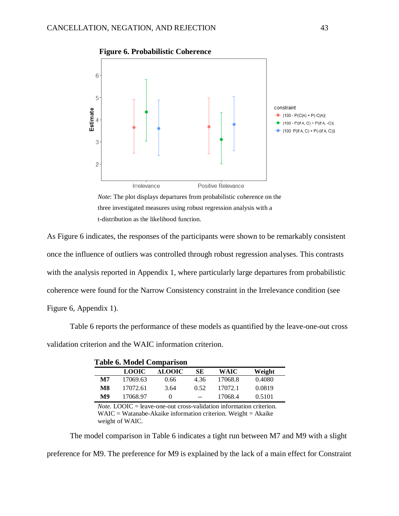

*Note*: The plot displays departures from probabilistic coherence on the three investigated measures using robust regression analysis with a t-distribution as the likelihood function.

As Figure 6 indicates, the responses of the participants were shown to be remarkably consistent once the influence of outliers was controlled through robust regression analyses. This contrasts with the analysis reported in Appendix 1, where particularly large departures from probabilistic coherence were found for the Narrow Consistency constraint in the Irrelevance condition (see Figure 6, Appendix 1).

Table 6 reports the performance of these models as quantified by the leave-one-out cross validation criterion and the WAIC information criterion.

|    |              | <b>Table 6. Model Comparison</b> |       |         |        |  |
|----|--------------|----------------------------------|-------|---------|--------|--|
|    | <b>LOOIC</b> | <b>ALOOIC</b>                    | SЕ    | WAIC    | Weight |  |
| M7 | 17069.63     | 0.66                             | 4.36  | 17068.8 | 0.4080 |  |
| M8 | 17072.61     | 3.64                             | 0.52  | 17072.1 | 0.0819 |  |
| M9 | 17068.97     |                                  | $- -$ | 17068.4 | 0.5101 |  |

*Note.* LOOIC = leave-one-out cross-validation information criterion.  $WAIC = Watanabe-Akaike information criterion. Weight = Akaike$ weight of WAIC.

The model comparison in Table 6 indicates a tight run between M7 and M9 with a slight

preference for M9. The preference for M9 is explained by the lack of a main effect for Constraint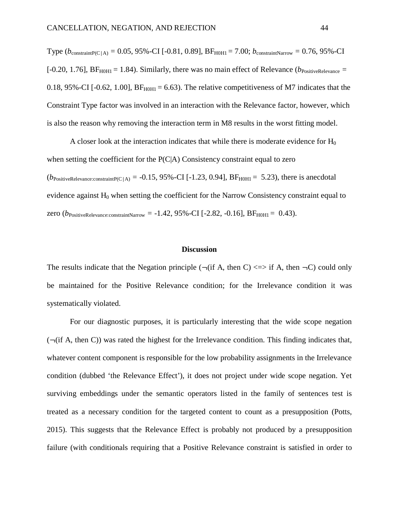Type  $(b_{\text{constraintP(C|A)}} = 0.05, 95\%$ -CI [-0.81, 0.89],  $BF_{H0H1} = 7.00$ ;  $b_{\text{constraintNarrow}} = 0.76, 95\%$ -CI  $[-0.20, 1.76]$ , BF<sub>H0H1</sub> = 1.84). Similarly, there was no main effect of Relevance ( $b_{\text{PositiveRelevance}} =$ 0.18, 95%-CI [-0.62, 1.00],  $BF_{H0H1} = 6.63$ ). The relative competitiveness of M7 indicates that the Constraint Type factor was involved in an interaction with the Relevance factor, however, which is also the reason why removing the interaction term in M8 results in the worst fitting model.

A closer look at the interaction indicates that while there is moderate evidence for  $H_0$ when setting the coefficient for the P(C|A) Consistency constraint equal to zero  $(b_{\text{PositiveRelevance:constraintP(C|A)}} = -0.15, 95\%$ -CI [-1.23, 0.94], BF<sub>H0H1</sub> = 5.23), there is anecdotal evidence against  $H_0$  when setting the coefficient for the Narrow Consistency constraint equal to zero ( $b_{\text{PositiveRelevance:constraintNarrow}} = -1.42, 95\%$ -CI [-2.82, -0.16],  $BF_{H0H1} = 0.43$ ).

#### **Discussion**

The results indicate that the Negation principle  $(\neg$  (if A, then C)  $\langle \Rightarrow$  if A, then  $\neg$ C) could only be maintained for the Positive Relevance condition; for the Irrelevance condition it was systematically violated.

For our diagnostic purposes, it is particularly interesting that the wide scope negation  $(\neg$ (if A, then C)) was rated the highest for the Irrelevance condition. This finding indicates that, whatever content component is responsible for the low probability assignments in the Irrelevance condition (dubbed 'the Relevance Effect'), it does not project under wide scope negation. Yet surviving embeddings under the semantic operators listed in the family of sentences test is treated as a necessary condition for the targeted content to count as a presupposition (Potts, 2015). This suggests that the Relevance Effect is probably not produced by a presupposition failure (with conditionals requiring that a Positive Relevance constraint is satisfied in order to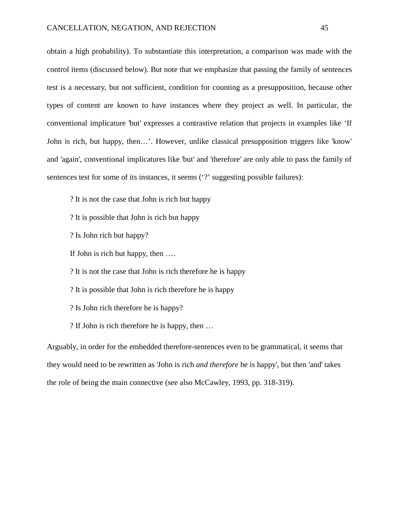obtain a high probability). To substantiate this interpretation, a comparison was made with the control items (discussed below). But note that we emphasize that passing the family of sentences test is a necessary, but not sufficient, condition for counting as a presupposition, because other types of content are known to have instances where they project as well. In particular, the conventional implicature 'but' expresses a contrastive relation that projects in examples like 'If John is rich, but happy, then…'. However, unlike classical presupposition triggers like 'know' and 'again', conventional implicatures like 'but' and 'therefore' are only able to pass the family of sentences test for some of its instances, it seems ( $\degree$ ? suggesting possible failures):

- ? It is not the case that John is rich but happy
- ? It is possible that John is rich but happy
- ? Is John rich but happy?
- If John is rich but happy, then ….
- ? It is not the case that John is rich therefore he is happy
- ? It is possible that John is rich therefore he is happy
- ? Is John rich therefore he is happy?
- ? If John is rich therefore he is happy, then …

Arguably, in order for the embedded therefore-sentences even to be grammatical, it seems that they would need to be rewritten as 'John is rich *and therefore* he is happy', but then 'and' takes the role of being the main connective (see also McCawley, 1993, pp. 318-319).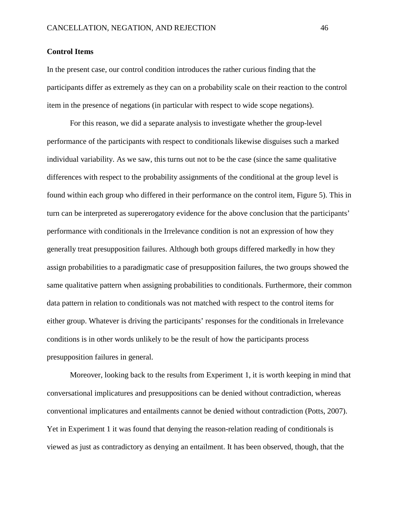## **Control Items**

In the present case, our control condition introduces the rather curious finding that the participants differ as extremely as they can on a probability scale on their reaction to the control item in the presence of negations (in particular with respect to wide scope negations).

For this reason, we did a separate analysis to investigate whether the group-level performance of the participants with respect to conditionals likewise disguises such a marked individual variability. As we saw, this turns out not to be the case (since the same qualitative differences with respect to the probability assignments of the conditional at the group level is found within each group who differed in their performance on the control item, Figure 5). This in turn can be interpreted as supererogatory evidence for the above conclusion that the participants' performance with conditionals in the Irrelevance condition is not an expression of how they generally treat presupposition failures. Although both groups differed markedly in how they assign probabilities to a paradigmatic case of presupposition failures, the two groups showed the same qualitative pattern when assigning probabilities to conditionals. Furthermore, their common data pattern in relation to conditionals was not matched with respect to the control items for either group. Whatever is driving the participants' responses for the conditionals in Irrelevance conditions is in other words unlikely to be the result of how the participants process presupposition failures in general.

Moreover, looking back to the results from Experiment 1, it is worth keeping in mind that conversational implicatures and presuppositions can be denied without contradiction, whereas conventional implicatures and entailments cannot be denied without contradiction (Potts, 2007). Yet in Experiment 1 it was found that denying the reason-relation reading of conditionals is viewed as just as contradictory as denying an entailment. It has been observed, though, that the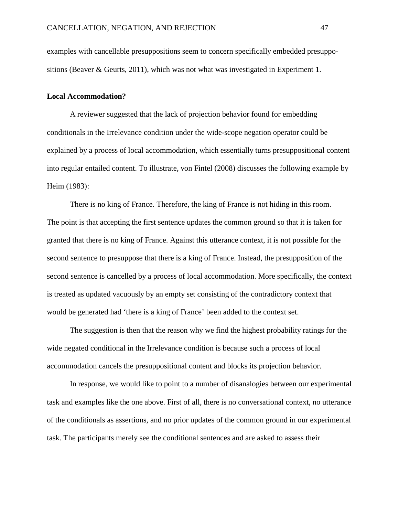examples with cancellable presuppositions seem to concern specifically embedded presuppositions (Beaver & Geurts, 2011), which was not what was investigated in Experiment 1.

# **Local Accommodation?**

A reviewer suggested that the lack of projection behavior found for embedding conditionals in the Irrelevance condition under the wide-scope negation operator could be explained by a process of local accommodation, which essentially turns presuppositional content into regular entailed content. To illustrate, von Fintel (2008) discusses the following example by Heim (1983):

There is no king of France. Therefore, the king of France is not hiding in this room. The point is that accepting the first sentence updates the common ground so that it is taken for granted that there is no king of France. Against this utterance context, it is not possible for the second sentence to presuppose that there is a king of France. Instead, the presupposition of the second sentence is cancelled by a process of local accommodation. More specifically, the context is treated as updated vacuously by an empty set consisting of the contradictory context that would be generated had 'there is a king of France' been added to the context set.

The suggestion is then that the reason why we find the highest probability ratings for the wide negated conditional in the Irrelevance condition is because such a process of local accommodation cancels the presuppositional content and blocks its projection behavior.

In response, we would like to point to a number of disanalogies between our experimental task and examples like the one above. First of all, there is no conversational context, no utterance of the conditionals as assertions, and no prior updates of the common ground in our experimental task. The participants merely see the conditional sentences and are asked to assess their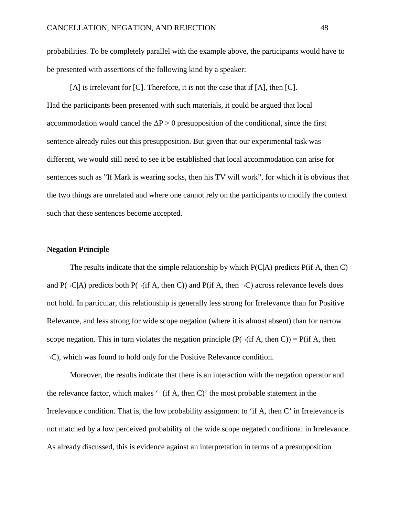probabilities. To be completely parallel with the example above, the participants would have to be presented with assertions of the following kind by a speaker:

[A] is irrelevant for [C]. Therefore, it is not the case that if [A], then [C]. Had the participants been presented with such materials, it could be argued that local accommodation would cancel the  $\Delta P > 0$  presupposition of the conditional, since the first sentence already rules out this presupposition. But given that our experimental task was different, we would still need to see it be established that local accommodation can arise for sentences such as "If Mark is wearing socks, then his TV will work", for which it is obvious that the two things are unrelated and where one cannot rely on the participants to modify the context such that these sentences become accepted.

## **Negation Principle**

The results indicate that the simple relationship by which P(C|A) predicts P(if A, then C) and P( $\neg$ C|A) predicts both P( $\neg$ (if A, then C)) and P(if A, then  $\neg$ C) across relevance levels does not hold. In particular, this relationship is generally less strong for Irrelevance than for Positive Relevance, and less strong for wide scope negation (where it is almost absent) than for narrow scope negation. This in turn violates the negation principle  $(P(\neg(i\text{f A}, \text{then } C)) = P(i\text{f A}, \text{then } C)$ ¬C), which was found to hold only for the Positive Relevance condition.

Moreover, the results indicate that there is an interaction with the negation operator and the relevance factor, which makes  $\lnot$  (if A, then C)' the most probable statement in the Irrelevance condition. That is, the low probability assignment to 'if A, then C' in Irrelevance is not matched by a low perceived probability of the wide scope negated conditional in Irrelevance. As already discussed, this is evidence against an interpretation in terms of a presupposition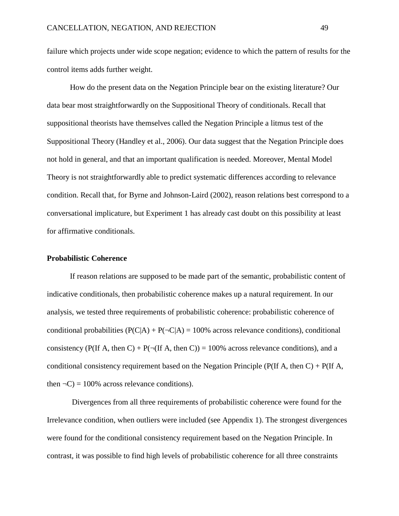failure which projects under wide scope negation; evidence to which the pattern of results for the control items adds further weight.

How do the present data on the Negation Principle bear on the existing literature? Our data bear most straightforwardly on the Suppositional Theory of conditionals. Recall that suppositional theorists have themselves called the Negation Principle a litmus test of the Suppositional Theory (Handley et al., 2006). Our data suggest that the Negation Principle does not hold in general, and that an important qualification is needed. Moreover, Mental Model Theory is not straightforwardly able to predict systematic differences according to relevance condition. Recall that, for Byrne and Johnson-Laird (2002), reason relations best correspond to a conversational implicature, but Experiment 1 has already cast doubt on this possibility at least for affirmative conditionals.

# **Probabilistic Coherence**

If reason relations are supposed to be made part of the semantic, probabilistic content of indicative conditionals, then probabilistic coherence makes up a natural requirement. In our analysis, we tested three requirements of probabilistic coherence: probabilistic coherence of conditional probabilities  $(P(C|A) + P(\neg C|A) = 100\%$  across relevance conditions), conditional consistency (P(If A, then C) + P( $\neg$ (If A, then C)) = 100% across relevance conditions), and a conditional consistency requirement based on the Negation Principle (P(If A, then C) + P(If A, then  $\neg C$ ) = 100% across relevance conditions).

Divergences from all three requirements of probabilistic coherence were found for the Irrelevance condition, when outliers were included (see Appendix 1). The strongest divergences were found for the conditional consistency requirement based on the Negation Principle. In contrast, it was possible to find high levels of probabilistic coherence for all three constraints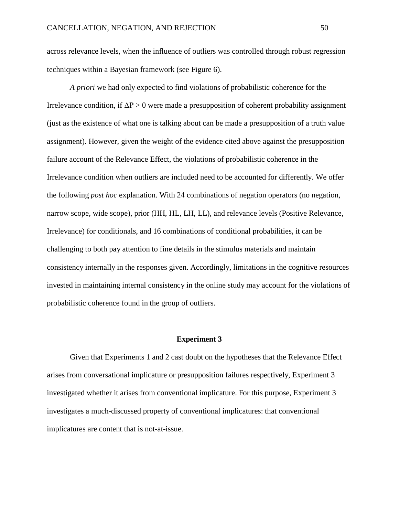across relevance levels, when the influence of outliers was controlled through robust regression techniques within a Bayesian framework (see Figure 6).

*A priori* we had only expected to find violations of probabilistic coherence for the Irrelevance condition, if  $\Delta P > 0$  were made a presupposition of coherent probability assignment (just as the existence of what one is talking about can be made a presupposition of a truth value assignment). However, given the weight of the evidence cited above against the presupposition failure account of the Relevance Effect, the violations of probabilistic coherence in the Irrelevance condition when outliers are included need to be accounted for differently. We offer the following *post hoc* explanation. With 24 combinations of negation operators (no negation, narrow scope, wide scope), prior (HH, HL, LH, LL), and relevance levels (Positive Relevance, Irrelevance) for conditionals, and 16 combinations of conditional probabilities, it can be challenging to both pay attention to fine details in the stimulus materials and maintain consistency internally in the responses given. Accordingly, limitations in the cognitive resources invested in maintaining internal consistency in the online study may account for the violations of probabilistic coherence found in the group of outliers.

#### **Experiment 3**

Given that Experiments 1 and 2 cast doubt on the hypotheses that the Relevance Effect arises from conversational implicature or presupposition failures respectively, Experiment 3 investigated whether it arises from conventional implicature. For this purpose, Experiment 3 investigates a much-discussed property of conventional implicatures: that conventional implicatures are content that is not-at-issue.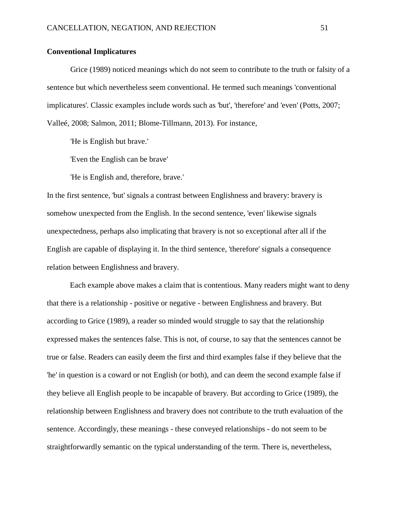## **Conventional Implicatures**

Grice (1989) noticed meanings which do not seem to contribute to the truth or falsity of a sentence but which nevertheless seem conventional. He termed such meanings 'conventional implicatures'. Classic examples include words such as 'but', 'therefore' and 'even' (Potts, 2007; Valleé, 2008; Salmon, 2011; Blome-Tillmann, 2013). For instance,

'He is English but brave.'

'Even the English can be brave'

'He is English and, therefore, brave.'

In the first sentence, 'but' signals a contrast between Englishness and bravery: bravery is somehow unexpected from the English. In the second sentence, 'even' likewise signals unexpectedness, perhaps also implicating that bravery is not so exceptional after all if the English are capable of displaying it. In the third sentence, 'therefore' signals a consequence relation between Englishness and bravery.

Each example above makes a claim that is contentious. Many readers might want to deny that there is a relationship - positive or negative - between Englishness and bravery. But according to Grice (1989), a reader so minded would struggle to say that the relationship expressed makes the sentences false. This is not, of course, to say that the sentences cannot be true or false. Readers can easily deem the first and third examples false if they believe that the 'he' in question is a coward or not English (or both), and can deem the second example false if they believe all English people to be incapable of bravery. But according to Grice (1989), the relationship between Englishness and bravery does not contribute to the truth evaluation of the sentence. Accordingly, these meanings - these conveyed relationships - do not seem to be straightforwardly semantic on the typical understanding of the term. There is, nevertheless,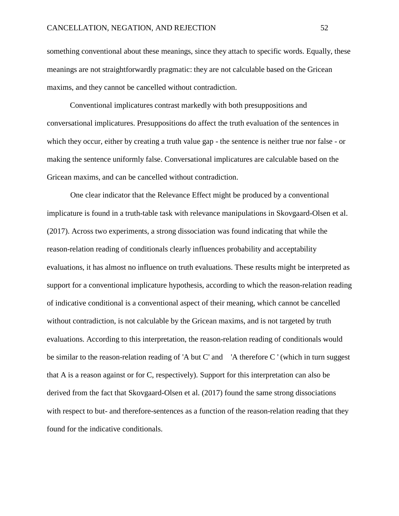something conventional about these meanings, since they attach to specific words. Equally, these meanings are not straightforwardly pragmatic: they are not calculable based on the Gricean maxims, and they cannot be cancelled without contradiction.

Conventional implicatures contrast markedly with both presuppositions and conversational implicatures. Presuppositions do affect the truth evaluation of the sentences in which they occur, either by creating a truth value gap - the sentence is neither true nor false - or making the sentence uniformly false. Conversational implicatures are calculable based on the Gricean maxims, and can be cancelled without contradiction.

One clear indicator that the Relevance Effect might be produced by a conventional implicature is found in a truth-table task with relevance manipulations in Skovgaard-Olsen et al. (2017). Across two experiments, a strong dissociation was found indicating that while the reason-relation reading of conditionals clearly influences probability and acceptability evaluations, it has almost no influence on truth evaluations. These results might be interpreted as support for a conventional implicature hypothesis, according to which the reason-relation reading of indicative conditional is a conventional aspect of their meaning, which cannot be cancelled without contradiction, is not calculable by the Gricean maxims, and is not targeted by truth evaluations. According to this interpretation, the reason-relation reading of conditionals would be similar to the reason-relation reading of 'A but C' and 'A therefore C ' (which in turn suggest that A is a reason against or for C, respectively). Support for this interpretation can also be derived from the fact that Skovgaard-Olsen et al. (2017) found the same strong dissociations with respect to but- and therefore-sentences as a function of the reason-relation reading that they found for the indicative conditionals.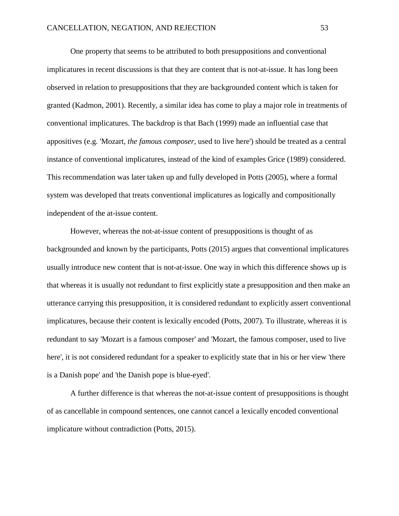One property that seems to be attributed to both presuppositions and conventional implicatures in recent discussions is that they are content that is not-at-issue. It has long been observed in relation to presuppositions that they are backgrounded content which is taken for granted (Kadmon, 2001). Recently, a similar idea has come to play a major role in treatments of conventional implicatures. The backdrop is that Bach (1999) made an influential case that appositives (e.g. 'Mozart, *the famous composer*, used to live here') should be treated as a central instance of conventional implicatures, instead of the kind of examples Grice (1989) considered. This recommendation was later taken up and fully developed in Potts (2005), where a formal system was developed that treats conventional implicatures as logically and compositionally independent of the at-issue content.

However, whereas the not-at-issue content of presuppositions is thought of as backgrounded and known by the participants, Potts (2015) argues that conventional implicatures usually introduce new content that is not-at-issue. One way in which this difference shows up is that whereas it is usually not redundant to first explicitly state a presupposition and then make an utterance carrying this presupposition, it is considered redundant to explicitly assert conventional implicatures, because their content is lexically encoded (Potts, 2007). To illustrate, whereas it is redundant to say 'Mozart is a famous composer' and 'Mozart, the famous composer, used to live here', it is not considered redundant for a speaker to explicitly state that in his or her view 'there is a Danish pope' and 'the Danish pope is blue-eyed'.

A further difference is that whereas the not-at-issue content of presuppositions is thought of as cancellable in compound sentences, one cannot cancel a lexically encoded conventional implicature without contradiction (Potts, 2015).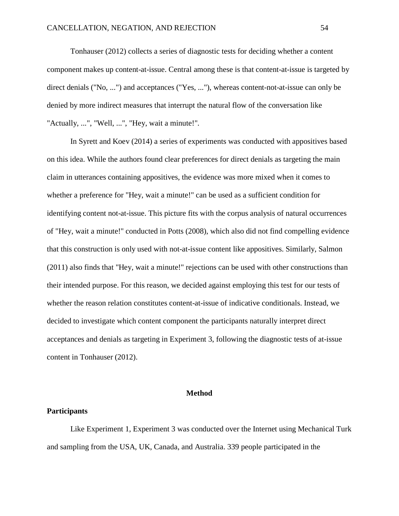Tonhauser (2012) collects a series of diagnostic tests for deciding whether a content component makes up content-at-issue. Central among these is that content-at-issue is targeted by direct denials ("No, ...") and acceptances ("Yes, ..."), whereas content-not-at-issue can only be denied by more indirect measures that interrupt the natural flow of the conversation like "Actually, ...", "Well, ...", "Hey, wait a minute!".

In Syrett and Koev (2014) a series of experiments was conducted with appositives based on this idea. While the authors found clear preferences for direct denials as targeting the main claim in utterances containing appositives, the evidence was more mixed when it comes to whether a preference for "Hey, wait a minute!" can be used as a sufficient condition for identifying content not-at-issue. This picture fits with the corpus analysis of natural occurrences of "Hey, wait a minute!" conducted in Potts (2008), which also did not find compelling evidence that this construction is only used with not-at-issue content like appositives. Similarly, Salmon (2011) also finds that "Hey, wait a minute!" rejections can be used with other constructions than their intended purpose. For this reason, we decided against employing this test for our tests of whether the reason relation constitutes content-at-issue of indicative conditionals. Instead, we decided to investigate which content component the participants naturally interpret direct acceptances and denials as targeting in Experiment 3, following the diagnostic tests of at-issue content in Tonhauser (2012).

## **Method**

#### **Participants**

Like Experiment 1, Experiment 3 was conducted over the Internet using Mechanical Turk and sampling from the USA, UK, Canada, and Australia. 339 people participated in the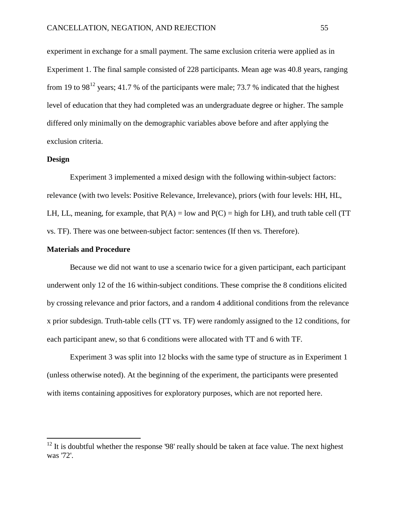experiment in exchange for a small payment. The same exclusion criteria were applied as in Experiment 1. The final sample consisted of 228 participants. Mean age was 40.8 years, ranging from 19 to 98<sup>[12](#page-55-0)</sup> years; 41.7 % of the participants were male; 73.7 % indicated that the highest level of education that they had completed was an undergraduate degree or higher. The sample differed only minimally on the demographic variables above before and after applying the exclusion criteria.

## **Design**

Experiment 3 implemented a mixed design with the following within-subject factors: relevance (with two levels: Positive Relevance, Irrelevance), priors (with four levels: HH, HL, LH, LL, meaning, for example, that  $P(A) = low$  and  $P(C) = high$  for LH), and truth table cell (TT) vs. TF). There was one between-subject factor: sentences (If then vs. Therefore).

## **Materials and Procedure**

Because we did not want to use a scenario twice for a given participant, each participant underwent only 12 of the 16 within-subject conditions. These comprise the 8 conditions elicited by crossing relevance and prior factors, and a random 4 additional conditions from the relevance x prior subdesign. Truth-table cells (TT vs. TF) were randomly assigned to the 12 conditions, for each participant anew, so that 6 conditions were allocated with TT and 6 with TF.

Experiment 3 was split into 12 blocks with the same type of structure as in Experiment 1 (unless otherwise noted). At the beginning of the experiment, the participants were presented with items containing appositives for exploratory purposes, which are not reported here.

<span id="page-55-0"></span> $12$  It is doubtful whether the response '98' really should be taken at face value. The next highest was '72'.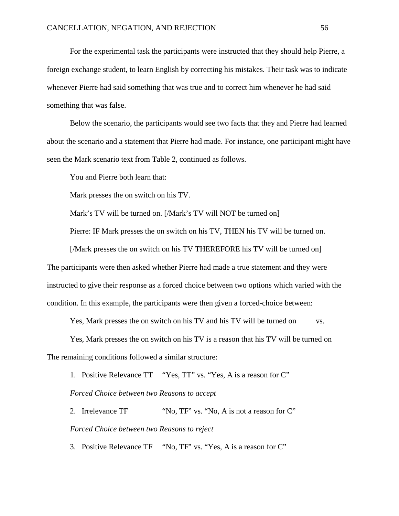For the experimental task the participants were instructed that they should help Pierre, a foreign exchange student, to learn English by correcting his mistakes. Their task was to indicate whenever Pierre had said something that was true and to correct him whenever he had said something that was false.

Below the scenario, the participants would see two facts that they and Pierre had learned about the scenario and a statement that Pierre had made. For instance, one participant might have seen the Mark scenario text from Table 2, continued as follows.

You and Pierre both learn that:

Mark presses the on switch on his TV.

Mark's TV will be turned on. [/Mark's TV will NOT be turned on]

Pierre: IF Mark presses the on switch on his TV, THEN his TV will be turned on.

[/Mark presses the on switch on his TV THEREFORE his TV will be turned on] The participants were then asked whether Pierre had made a true statement and they were

instructed to give their response as a forced choice between two options which varied with the condition. In this example, the participants were then given a forced-choice between:

Yes, Mark presses the on switch on his TV and his TV will be turned on vs.

Yes, Mark presses the on switch on his TV is a reason that his TV will be turned on The remaining conditions followed a similar structure:

1. Positive Relevance TT "Yes, TT" vs. "Yes, A is a reason for C"

*Forced Choice between two Reasons to accept*

2. Irrelevance TF "No, TF' vs. "No, A is not a reason for C" *Forced Choice between two Reasons to reject*

3. Positive Relevance TF "No, TF" vs. "Yes, A is a reason for C"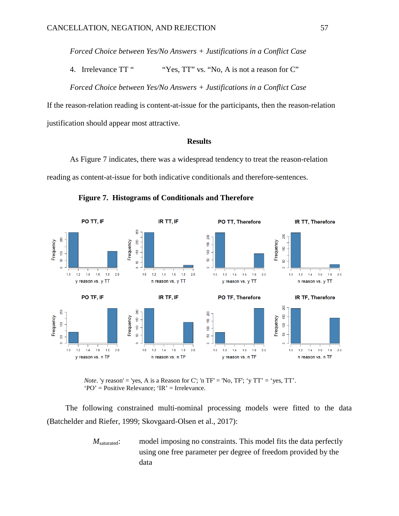*Forced Choice between Yes/No Answers + Justifications in a Conflict Case*

4. Irrelevance TT " "Yes, TT" vs. "No, A is not a reason for C"

*Forced Choice between Yes/No Answers + Justifications in a Conflict Case*

If the reason-relation reading is content-at-issue for the participants, then the reason-relation justification should appear most attractive.

#### **Results**

As Figure 7 indicates, there was a widespread tendency to treat the reason-relation reading as content-at-issue for both indicative conditionals and therefore-sentences.



 **Figure 7. Histograms of Conditionals and Therefore**

*Note*. 'y reason' = 'yes, A is a Reason for C'; 'n  $TF' = 'No$ ,  $TF'$ ; 'y  $TT' = 'yes$ ,  $TT'$ . 'PO' = Positive Relevance; 'IR' = Irrelevance.

The following constrained multi-nominal processing models were fitted to the data (Batchelder and Riefer, 1999; Skovgaard-Olsen et al., 2017):

> *M*<sub>saturated</sub>: model imposing no constraints. This model fits the data perfectly using one free parameter per degree of freedom provided by the data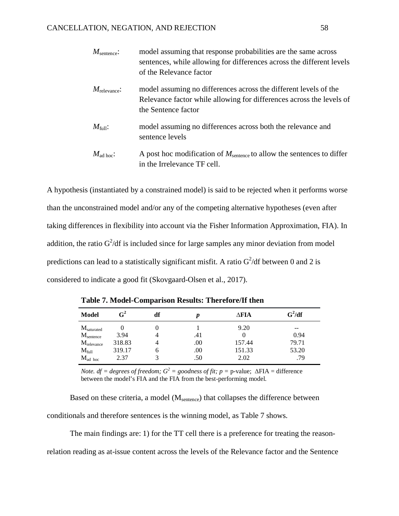| $M_{\rm sentence}$ :     | model assuming that response probabilities are the same across<br>sentences, while allowing for differences across the different levels<br>of the Relevance factor |
|--------------------------|--------------------------------------------------------------------------------------------------------------------------------------------------------------------|
| $M_{\text{relevance}}$ : | model assuming no differences across the different levels of the<br>Relevance factor while allowing for differences across the levels of<br>the Sentence factor    |
| $M_{\rm full}$ :         | model assuming no differences across both the relevance and<br>sentence levels                                                                                     |
| $M_{\rm ad\,hoc}$ :      | A post hoc modification of $M_{\text{sentence}}$ to allow the sentences to differ<br>in the Irrelevance TF cell.                                                   |

A hypothesis (instantiated by a constrained model) is said to be rejected when it performs worse than the unconstrained model and/or any of the competing alternative hypotheses (even after taking differences in flexibility into account via the Fisher Information Approximation, FIA). In addition, the ratio  $G^2/df$  is included since for large samples any minor deviation from model predictions can lead to a statistically significant misfit. A ratio  $G^2/df$  between 0 and 2 is considered to indicate a good fit (Skovgaard-Olsen et al., 2017).

| <b>Model</b>           | $\mathbf{G}^2$ | df |     | AFIA   | $G^2/df$ |
|------------------------|----------------|----|-----|--------|----------|
| $M_{\text{saturated}}$ |                | v  |     | 9.20   | --       |
| M <sub>sentence</sub>  | 3.94           | 4  | .41 |        | 0.94     |
| M <sub>relevance</sub> | 318.83         | 4  | .00 | 157.44 | 79.71    |
| $M_{\rm full}$         | 319.17         | 6  | .00 | 151.33 | 53.20    |
| $M_{ad-hoc}$           | 2.37           |    | .50 | 2.02   | .79      |

**Table 7. Model-Comparison Results: Therefore/If then**

*Note. df* = *degrees of freedom;*  $G^2$  = *goodness of fit;*  $p$  = **p**-value;  $\Delta$ FIA = difference between the model's FIA and the FIA from the best-performing model.

Based on these criteria, a model (M<sub>sentence</sub>) that collapses the difference between conditionals and therefore sentences is the winning model, as Table 7 shows.

The main findings are: 1) for the TT cell there is a preference for treating the reason-

relation reading as at-issue content across the levels of the Relevance factor and the Sentence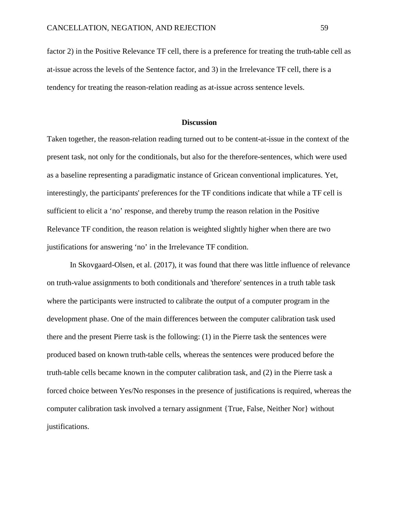factor 2) in the Positive Relevance TF cell, there is a preference for treating the truth-table cell as at-issue across the levels of the Sentence factor, and 3) in the Irrelevance TF cell, there is a tendency for treating the reason-relation reading as at-issue across sentence levels.

## **Discussion**

Taken together, the reason-relation reading turned out to be content-at-issue in the context of the present task, not only for the conditionals, but also for the therefore-sentences, which were used as a baseline representing a paradigmatic instance of Gricean conventional implicatures. Yet, interestingly, the participants' preferences for the TF conditions indicate that while a TF cell is sufficient to elicit a 'no' response, and thereby trump the reason relation in the Positive Relevance TF condition, the reason relation is weighted slightly higher when there are two justifications for answering 'no' in the Irrelevance TF condition.

In Skovgaard-Olsen, et al. (2017), it was found that there was little influence of relevance on truth-value assignments to both conditionals and 'therefore' sentences in a truth table task where the participants were instructed to calibrate the output of a computer program in the development phase. One of the main differences between the computer calibration task used there and the present Pierre task is the following: (1) in the Pierre task the sentences were produced based on known truth-table cells, whereas the sentences were produced before the truth-table cells became known in the computer calibration task, and (2) in the Pierre task a forced choice between Yes/No responses in the presence of justifications is required, whereas the computer calibration task involved a ternary assignment {True, False, Neither Nor} without justifications.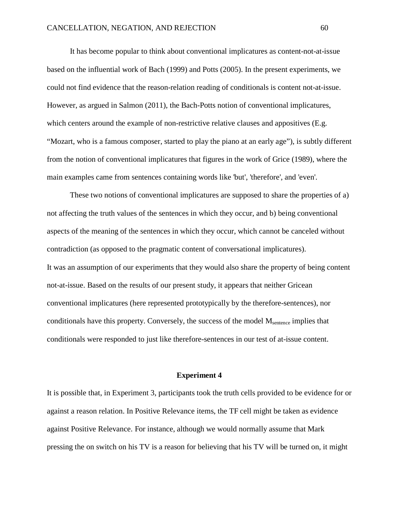It has become popular to think about conventional implicatures as content-not-at-issue based on the influential work of Bach (1999) and Potts (2005). In the present experiments, we could not find evidence that the reason-relation reading of conditionals is content not-at-issue. However, as argued in Salmon (2011), the Bach-Potts notion of conventional implicatures, which centers around the example of non-restrictive relative clauses and appositives (E.g. "Mozart, who is a famous composer, started to play the piano at an early age"), is subtly different from the notion of conventional implicatures that figures in the work of Grice (1989), where the main examples came from sentences containing words like 'but', 'therefore', and 'even'.

These two notions of conventional implicatures are supposed to share the properties of a) not affecting the truth values of the sentences in which they occur, and b) being conventional aspects of the meaning of the sentences in which they occur, which cannot be canceled without contradiction (as opposed to the pragmatic content of conversational implicatures). It was an assumption of our experiments that they would also share the property of being content not-at-issue. Based on the results of our present study, it appears that neither Gricean conventional implicatures (here represented prototypically by the therefore-sentences), nor conditionals have this property. Conversely, the success of the model  $M<sub>sentence</sub>$  implies that conditionals were responded to just like therefore-sentences in our test of at-issue content.

#### **Experiment 4**

It is possible that, in Experiment 3, participants took the truth cells provided to be evidence for or against a reason relation. In Positive Relevance items, the TF cell might be taken as evidence against Positive Relevance. For instance, although we would normally assume that Mark pressing the on switch on his TV is a reason for believing that his TV will be turned on, it might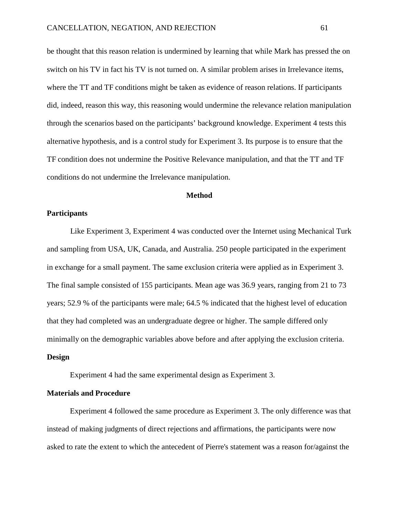be thought that this reason relation is undermined by learning that while Mark has pressed the on switch on his TV in fact his TV is not turned on. A similar problem arises in Irrelevance items, where the TT and TF conditions might be taken as evidence of reason relations. If participants did, indeed, reason this way, this reasoning would undermine the relevance relation manipulation through the scenarios based on the participants' background knowledge. Experiment 4 tests this alternative hypothesis, and is a control study for Experiment 3. Its purpose is to ensure that the TF condition does not undermine the Positive Relevance manipulation, and that the TT and TF conditions do not undermine the Irrelevance manipulation.

#### **Method**

## **Participants**

Like Experiment 3, Experiment 4 was conducted over the Internet using Mechanical Turk and sampling from USA, UK, Canada, and Australia. 250 people participated in the experiment in exchange for a small payment. The same exclusion criteria were applied as in Experiment 3. The final sample consisted of 155 participants. Mean age was 36.9 years, ranging from 21 to 73 years; 52.9 % of the participants were male; 64.5 % indicated that the highest level of education that they had completed was an undergraduate degree or higher. The sample differed only minimally on the demographic variables above before and after applying the exclusion criteria. **Design**

Experiment 4 had the same experimental design as Experiment 3.

# **Materials and Procedure**

Experiment 4 followed the same procedure as Experiment 3. The only difference was that instead of making judgments of direct rejections and affirmations, the participants were now asked to rate the extent to which the antecedent of Pierre's statement was a reason for/against the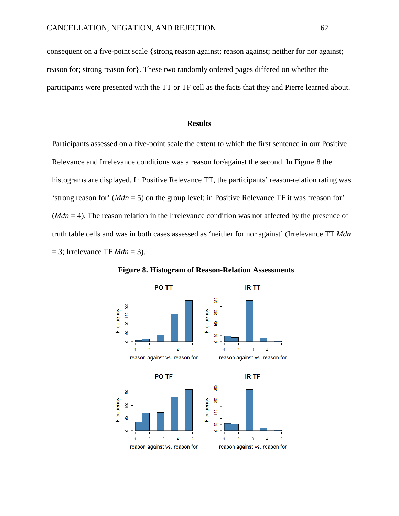consequent on a five-point scale {strong reason against; reason against; neither for nor against; reason for; strong reason for}. These two randomly ordered pages differed on whether the participants were presented with the TT or TF cell as the facts that they and Pierre learned about.

#### **Results**

Participants assessed on a five-point scale the extent to which the first sentence in our Positive Relevance and Irrelevance conditions was a reason for/against the second. In Figure 8 the histograms are displayed. In Positive Relevance TT, the participants' reason-relation rating was 'strong reason for' (*Mdn* = 5) on the group level; in Positive Relevance TF it was 'reason for'  $(Mdn = 4)$ . The reason relation in the Irrelevance condition was not affected by the presence of truth table cells and was in both cases assessed as 'neither for nor against' (Irrelevance TT *Mdn*  $= 3$ ; Irrelevance TF *Mdn*  $= 3$ ).



 **Figure 8. Histogram of Reason-Relation Assessments**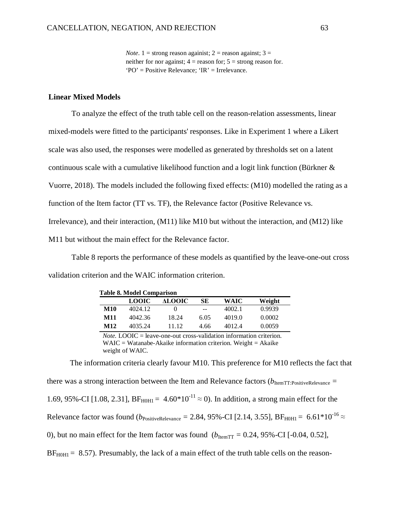*Note*. 1 = strong reason against; 2 = reason against; 3 = neither for nor against;  $4 =$  reason for;  $5 =$  strong reason for. 'PO' = Positive Relevance; 'IR' = Irrelevance.

# **Linear Mixed Models**

To analyze the effect of the truth table cell on the reason-relation assessments, linear mixed-models were fitted to the participants' responses. Like in Experiment 1 where a Likert scale was also used, the responses were modelled as generated by thresholds set on a latent continuous scale with a cumulative likelihood function and a logit link function (Bürkner & Vuorre, 2018). The models included the following fixed effects: (M10) modelled the rating as a function of the Item factor (TT vs. TF), the Relevance factor (Positive Relevance vs. Irrelevance), and their interaction, (M11) like M10 but without the interaction, and (M12) like M11 but without the main effect for the Relevance factor.

Table 8 reports the performance of these models as quantified by the leave-one-out cross validation criterion and the WAIC information criterion.

| <b>Table 8. Model Comparison</b> |              |        |       |        |        |  |
|----------------------------------|--------------|--------|-------|--------|--------|--|
|                                  | <b>LOOIC</b> | ALOOIC | SЕ    | WAIC   | Weight |  |
| M10                              | 4024.12      |        | $- -$ | 4002.1 | 0.9939 |  |
| M11                              | 4042.36      | 18.24  | 6.05  | 4019.0 | 0.0002 |  |
| M12                              | 4035.24      | 11 12  | 4.66  | 4012.4 | 0.0059 |  |

 $$  $WAIC = Watanabe-Akaike information criterion. Weight = Akaike$ weight of WAIC.

The information criteria clearly favour M10. This preference for M10 reflects the fact that

there was a strong interaction between the Item and Relevance factors ( $b_{\text{ItemTT:PositiveRelevance}} =$ 

1.69, 95%-CI [1.08, 2.31],  $BF_{H0H1} = 4.60*10^{-11} \approx 0$ ). In addition, a strong main effect for the

Relevance factor was found ( $b_{\text{PositiveRelevance}}$  = 2.84, 95%-CI [2.14, 3.55], BF<sub>H0H1</sub> = 6.61\*10<sup>-16</sup> ≈

0), but no main effect for the Item factor was found  $(b_{\text{ItemTT}} = 0.24, 95\%$ -CI [-0.04, 0.52],

 $BF<sub>H0H1</sub> = 8.57$ . Presumably, the lack of a main effect of the truth table cells on the reason-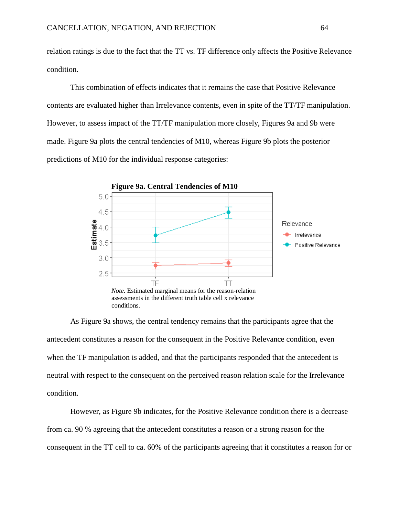relation ratings is due to the fact that the TT vs. TF difference only affects the Positive Relevance condition.

This combination of effects indicates that it remains the case that Positive Relevance contents are evaluated higher than Irrelevance contents, even in spite of the TT/TF manipulation. However, to assess impact of the TT/TF manipulation more closely, Figures 9a and 9b were made. Figure 9a plots the central tendencies of M10, whereas Figure 9b plots the posterior predictions of M10 for the individual response categories:



As Figure 9a shows, the central tendency remains that the participants agree that the antecedent constitutes a reason for the consequent in the Positive Relevance condition, even when the TF manipulation is added, and that the participants responded that the antecedent is neutral with respect to the consequent on the perceived reason relation scale for the Irrelevance condition.

However, as Figure 9b indicates, for the Positive Relevance condition there is a decrease from ca. 90 % agreeing that the antecedent constitutes a reason or a strong reason for the consequent in the TT cell to ca. 60% of the participants agreeing that it constitutes a reason for or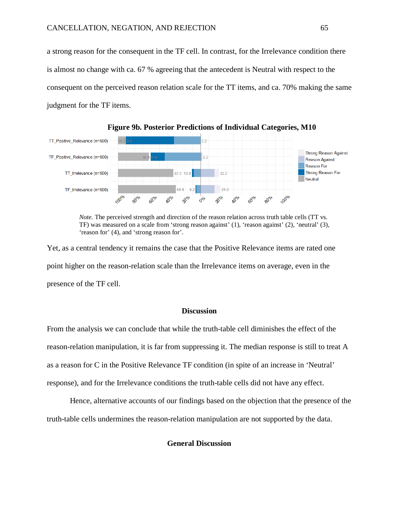a strong reason for the consequent in the TF cell. In contrast, for the Irrelevance condition there is almost no change with ca. 67 % agreeing that the antecedent is Neutral with respect to the consequent on the perceived reason relation scale for the TT items, and ca. 70% making the same judgment for the TF items.



 **Figure 9b. Posterior Predictions of Individual Categories, M10**

Yet, as a central tendency it remains the case that the Positive Relevance items are rated one point higher on the reason-relation scale than the Irrelevance items on average, even in the presence of the TF cell.

#### **Discussion**

From the analysis we can conclude that while the truth-table cell diminishes the effect of the reason-relation manipulation, it is far from suppressing it. The median response is still to treat A as a reason for C in the Positive Relevance TF condition (in spite of an increase in 'Neutral' response), and for the Irrelevance conditions the truth-table cells did not have any effect.

Hence, alternative accounts of our findings based on the objection that the presence of the truth-table cells undermines the reason-relation manipulation are not supported by the data.

# **General Discussion**

*Note.* The perceived strength and direction of the reason relation across truth table cells (TT vs. TF) was measured on a scale from 'strong reason against' (1), 'reason against' (2), 'neutral' (3), 'reason for' (4), and 'strong reason for'.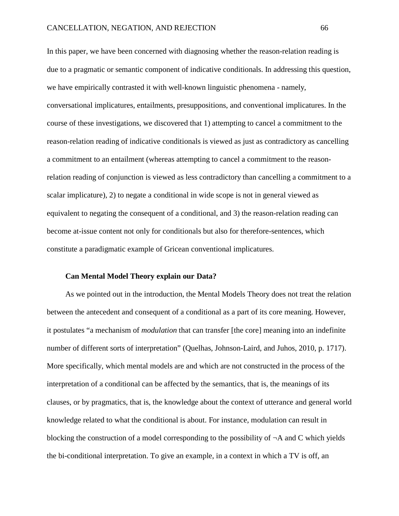In this paper, we have been concerned with diagnosing whether the reason-relation reading is due to a pragmatic or semantic component of indicative conditionals. In addressing this question, we have empirically contrasted it with well-known linguistic phenomena - namely, conversational implicatures, entailments, presuppositions, and conventional implicatures. In the course of these investigations, we discovered that 1) attempting to cancel a commitment to the reason-relation reading of indicative conditionals is viewed as just as contradictory as cancelling a commitment to an entailment (whereas attempting to cancel a commitment to the reasonrelation reading of conjunction is viewed as less contradictory than cancelling a commitment to a scalar implicature), 2) to negate a conditional in wide scope is not in general viewed as equivalent to negating the consequent of a conditional, and 3) the reason-relation reading can become at-issue content not only for conditionals but also for therefore-sentences, which constitute a paradigmatic example of Gricean conventional implicatures.

#### **Can Mental Model Theory explain our Data?**

As we pointed out in the introduction, the Mental Models Theory does not treat the relation between the antecedent and consequent of a conditional as a part of its core meaning. However, it postulates "a mechanism of *modulation* that can transfer [the core] meaning into an indefinite number of different sorts of interpretation" (Quelhas, Johnson-Laird, and Juhos, 2010, p. 1717). More specifically, which mental models are and which are not constructed in the process of the interpretation of a conditional can be affected by the semantics, that is, the meanings of its clauses, or by pragmatics, that is, the knowledge about the context of utterance and general world knowledge related to what the conditional is about. For instance, modulation can result in blocking the construction of a model corresponding to the possibility of  $\neg A$  and C which yields the bi-conditional interpretation. To give an example, in a context in which a TV is off, an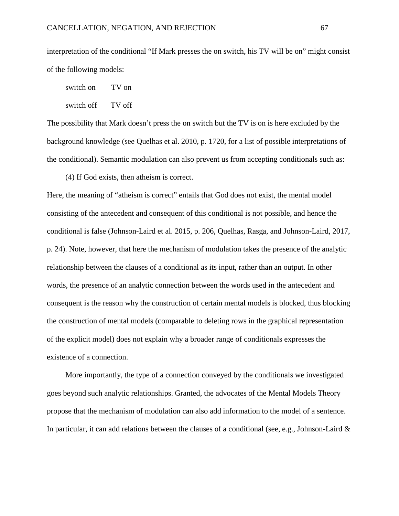interpretation of the conditional "If Mark presses the on switch, his TV will be on" might consist of the following models:

- switch on TV on
- switch off TV off

The possibility that Mark doesn't press the on switch but the TV is on is here excluded by the background knowledge (see Quelhas et al. 2010, p. 1720, for a list of possible interpretations of the conditional). Semantic modulation can also prevent us from accepting conditionals such as:

(4) If God exists, then atheism is correct.

Here, the meaning of "atheism is correct" entails that God does not exist, the mental model consisting of the antecedent and consequent of this conditional is not possible, and hence the conditional is false (Johnson-Laird et al. 2015, p. 206, Quelhas, Rasga, and Johnson-Laird, 2017, p. 24). Note, however, that here the mechanism of modulation takes the presence of the analytic relationship between the clauses of a conditional as its input, rather than an output. In other words, the presence of an analytic connection between the words used in the antecedent and consequent is the reason why the construction of certain mental models is blocked, thus blocking the construction of mental models (comparable to deleting rows in the graphical representation of the explicit model) does not explain why a broader range of conditionals expresses the existence of a connection.

More importantly, the type of a connection conveyed by the conditionals we investigated goes beyond such analytic relationships. Granted, the advocates of the Mental Models Theory propose that the mechanism of modulation can also add information to the model of a sentence. In particular, it can add relations between the clauses of a conditional (see, e.g., Johnson-Laird  $\&$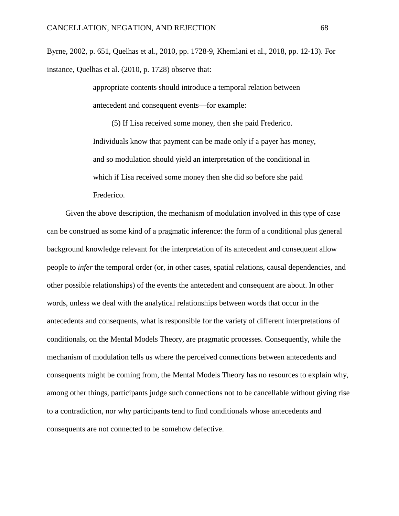Byrne, 2002, p. 651, Quelhas et al., 2010, pp. 1728-9, Khemlani et al., 2018, pp. 12-13). For instance, Quelhas et al. (2010, p. 1728) observe that:

> appropriate contents should introduce a temporal relation between antecedent and consequent events—for example:

(5) If Lisa received some money, then she paid Frederico. Individuals know that payment can be made only if a payer has money, and so modulation should yield an interpretation of the conditional in which if Lisa received some money then she did so before she paid Frederico.

Given the above description, the mechanism of modulation involved in this type of case can be construed as some kind of a pragmatic inference: the form of a conditional plus general background knowledge relevant for the interpretation of its antecedent and consequent allow people to *infer* the temporal order (or, in other cases, spatial relations, causal dependencies, and other possible relationships) of the events the antecedent and consequent are about. In other words, unless we deal with the analytical relationships between words that occur in the antecedents and consequents, what is responsible for the variety of different interpretations of conditionals, on the Mental Models Theory, are pragmatic processes. Consequently, while the mechanism of modulation tells us where the perceived connections between antecedents and consequents might be coming from, the Mental Models Theory has no resources to explain why, among other things, participants judge such connections not to be cancellable without giving rise to a contradiction, nor why participants tend to find conditionals whose antecedents and consequents are not connected to be somehow defective.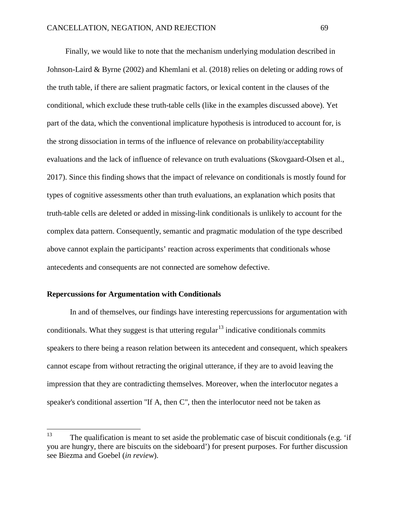Finally, we would like to note that the mechanism underlying modulation described in Johnson-Laird & Byrne (2002) and Khemlani et al. (2018) relies on deleting or adding rows of the truth table, if there are salient pragmatic factors, or lexical content in the clauses of the conditional, which exclude these truth-table cells (like in the examples discussed above). Yet part of the data, which the conventional implicature hypothesis is introduced to account for, is the strong dissociation in terms of the influence of relevance on probability/acceptability evaluations and the lack of influence of relevance on truth evaluations (Skovgaard-Olsen et al., 2017). Since this finding shows that the impact of relevance on conditionals is mostly found for types of cognitive assessments other than truth evaluations, an explanation which posits that truth-table cells are deleted or added in missing-link conditionals is unlikely to account for the complex data pattern. Consequently, semantic and pragmatic modulation of the type described above cannot explain the participants' reaction across experiments that conditionals whose antecedents and consequents are not connected are somehow defective.

## **Repercussions for Argumentation with Conditionals**

In and of themselves, our findings have interesting repercussions for argumentation with conditionals. What they suggest is that uttering regular<sup>[13](#page-69-0)</sup> indicative conditionals commits speakers to there being a reason relation between its antecedent and consequent, which speakers cannot escape from without retracting the original utterance, if they are to avoid leaving the impression that they are contradicting themselves. Moreover, when the interlocutor negates a speaker's conditional assertion "If A, then C", then the interlocutor need not be taken as

<span id="page-69-0"></span><sup>&</sup>lt;sup>13</sup> The qualification is meant to set aside the problematic case of biscuit conditionals (e.g. 'if you are hungry, there are biscuits on the sideboard') for present purposes. For further discussion see Biezma and Goebel (*in review*).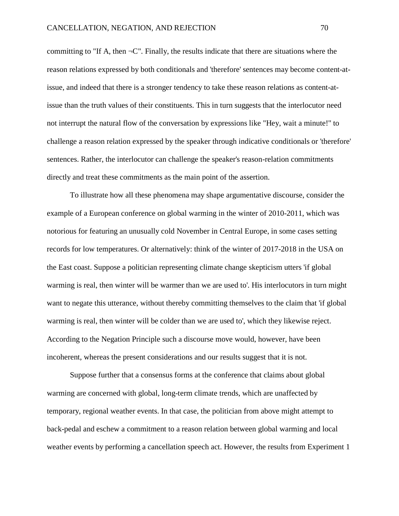committing to "If A, then  $\neg$ C". Finally, the results indicate that there are situations where the reason relations expressed by both conditionals and 'therefore' sentences may become content-atissue, and indeed that there is a stronger tendency to take these reason relations as content-atissue than the truth values of their constituents. This in turn suggests that the interlocutor need not interrupt the natural flow of the conversation by expressions like "Hey, wait a minute!" to challenge a reason relation expressed by the speaker through indicative conditionals or 'therefore' sentences. Rather, the interlocutor can challenge the speaker's reason-relation commitments directly and treat these commitments as the main point of the assertion.

To illustrate how all these phenomena may shape argumentative discourse, consider the example of a European conference on global warming in the winter of 2010-2011, which was notorious for featuring an unusually cold November in Central Europe, in some cases setting records for low temperatures. Or alternatively: think of the winter of 2017-2018 in the USA on the East coast. Suppose a politician representing climate change skepticism utters 'if global warming is real, then winter will be warmer than we are used to'. His interlocutors in turn might want to negate this utterance, without thereby committing themselves to the claim that 'if global warming is real, then winter will be colder than we are used to', which they likewise reject. According to the Negation Principle such a discourse move would, however, have been incoherent, whereas the present considerations and our results suggest that it is not.

Suppose further that a consensus forms at the conference that claims about global warming are concerned with global, long-term climate trends, which are unaffected by temporary, regional weather events. In that case, the politician from above might attempt to back-pedal and eschew a commitment to a reason relation between global warming and local weather events by performing a cancellation speech act. However, the results from Experiment 1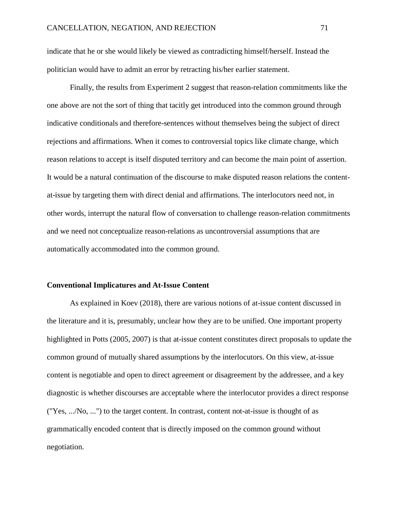indicate that he or she would likely be viewed as contradicting himself/herself. Instead the politician would have to admit an error by retracting his/her earlier statement.

Finally, the results from Experiment 2 suggest that reason-relation commitments like the one above are not the sort of thing that tacitly get introduced into the common ground through indicative conditionals and therefore-sentences without themselves being the subject of direct rejections and affirmations. When it comes to controversial topics like climate change, which reason relations to accept is itself disputed territory and can become the main point of assertion. It would be a natural continuation of the discourse to make disputed reason relations the contentat-issue by targeting them with direct denial and affirmations. The interlocutors need not, in other words, interrupt the natural flow of conversation to challenge reason-relation commitments and we need not conceptualize reason-relations as uncontroversial assumptions that are automatically accommodated into the common ground.

#### **Conventional Implicatures and At-Issue Content**

As explained in Koev (2018), there are various notions of at-issue content discussed in the literature and it is, presumably, unclear how they are to be unified. One important property highlighted in Potts (2005, 2007) is that at-issue content constitutes direct proposals to update the common ground of mutually shared assumptions by the interlocutors. On this view, at-issue content is negotiable and open to direct agreement or disagreement by the addressee, and a key diagnostic is whether discourses are acceptable where the interlocutor provides a direct response ("Yes, .../No, ...") to the target content. In contrast, content not-at-issue is thought of as grammatically encoded content that is directly imposed on the common ground without negotiation.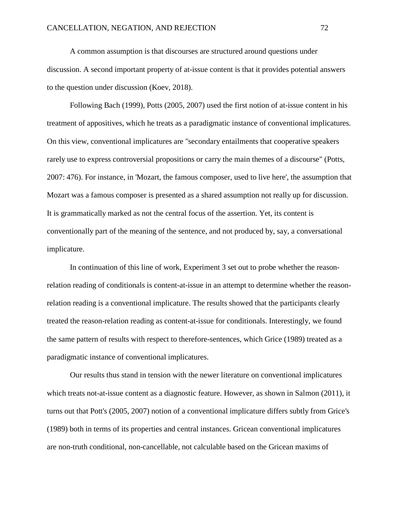A common assumption is that discourses are structured around questions under discussion. A second important property of at-issue content is that it provides potential answers to the question under discussion (Koev, 2018).

Following Bach (1999), Potts (2005, 2007) used the first notion of at-issue content in his treatment of appositives, which he treats as a paradigmatic instance of conventional implicatures. On this view, conventional implicatures are "secondary entailments that cooperative speakers rarely use to express controversial propositions or carry the main themes of a discourse" (Potts, 2007: 476). For instance, in 'Mozart, the famous composer, used to live here', the assumption that Mozart was a famous composer is presented as a shared assumption not really up for discussion. It is grammatically marked as not the central focus of the assertion. Yet, its content is conventionally part of the meaning of the sentence, and not produced by, say, a conversational implicature.

In continuation of this line of work, Experiment 3 set out to probe whether the reasonrelation reading of conditionals is content-at-issue in an attempt to determine whether the reasonrelation reading is a conventional implicature. The results showed that the participants clearly treated the reason-relation reading as content-at-issue for conditionals. Interestingly, we found the same pattern of results with respect to therefore-sentences, which Grice (1989) treated as a paradigmatic instance of conventional implicatures.

Our results thus stand in tension with the newer literature on conventional implicatures which treats not-at-issue content as a diagnostic feature. However, as shown in Salmon (2011), it turns out that Pott's (2005, 2007) notion of a conventional implicature differs subtly from Grice's (1989) both in terms of its properties and central instances. Gricean conventional implicatures are non-truth conditional, non-cancellable, not calculable based on the Gricean maxims of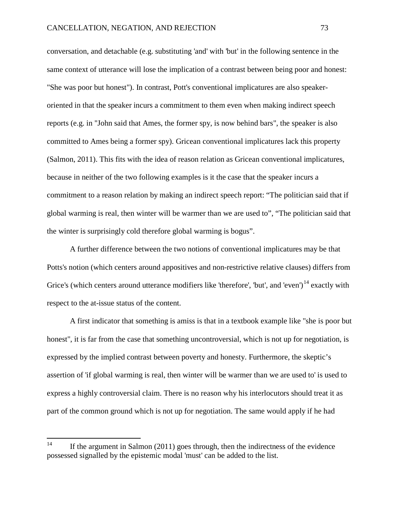conversation, and detachable (e.g. substituting 'and' with 'but' in the following sentence in the same context of utterance will lose the implication of a contrast between being poor and honest: "She was poor but honest"). In contrast, Pott's conventional implicatures are also speakeroriented in that the speaker incurs a commitment to them even when making indirect speech reports (e.g. in "John said that Ames, the former spy, is now behind bars", the speaker is also committed to Ames being a former spy). Gricean conventional implicatures lack this property (Salmon, 2011). This fits with the idea of reason relation as Gricean conventional implicatures, because in neither of the two following examples is it the case that the speaker incurs a commitment to a reason relation by making an indirect speech report: "The politician said that if global warming is real, then winter will be warmer than we are used to", "The politician said that the winter is surprisingly cold therefore global warming is bogus".

A further difference between the two notions of conventional implicatures may be that Potts's notion (which centers around appositives and non-restrictive relative clauses) differs from Grice's (which centers around utterance modifiers like 'therefore', 'but', and 'even')<sup>[14](#page-73-0)</sup> exactly with respect to the at-issue status of the content.

A first indicator that something is amiss is that in a textbook example like "she is poor but honest", it is far from the case that something uncontroversial, which is not up for negotiation, is expressed by the implied contrast between poverty and honesty. Furthermore, the skeptic's assertion of 'if global warming is real, then winter will be warmer than we are used to' is used to express a highly controversial claim. There is no reason why his interlocutors should treat it as part of the common ground which is not up for negotiation. The same would apply if he had

<span id="page-73-0"></span><sup>&</sup>lt;sup>14</sup> If the argument in Salmon (2011) goes through, then the indirectness of the evidence possessed signalled by the epistemic modal 'must' can be added to the list.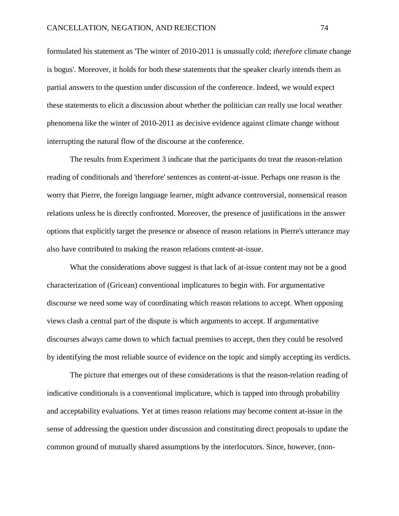formulated his statement as 'The winter of 2010-2011 is unusually cold; *therefore* climate change is bogus'. Moreover, it holds for both these statements that the speaker clearly intends them as partial answers to the question under discussion of the conference. Indeed, we would expect these statements to elicit a discussion about whether the politician can really use local weather phenomena like the winter of 2010-2011 as decisive evidence against climate change without interrupting the natural flow of the discourse at the conference.

The results from Experiment 3 indicate that the participants do treat the reason-relation reading of conditionals and 'therefore' sentences as content-at-issue. Perhaps one reason is the worry that Pierre, the foreign language learner, might advance controversial, nonsensical reason relations unless he is directly confronted. Moreover, the presence of justifications in the answer options that explicitly target the presence or absence of reason relations in Pierre's utterance may also have contributed to making the reason relations content-at-issue.

What the considerations above suggest is that lack of at-issue content may not be a good characterization of (Gricean) conventional implicatures to begin with. For argumentative discourse we need some way of coordinating which reason relations to accept. When opposing views clash a central part of the dispute is which arguments to accept. If argumentative discourses always came down to which factual premises to accept, then they could be resolved by identifying the most reliable source of evidence on the topic and simply accepting its verdicts.

The picture that emerges out of these considerations is that the reason-relation reading of indicative conditionals is a conventional implicature, which is tapped into through probability and acceptability evaluations. Yet at times reason relations may become content at-issue in the sense of addressing the question under discussion and constituting direct proposals to update the common ground of mutually shared assumptions by the interlocutors. Since, however, (non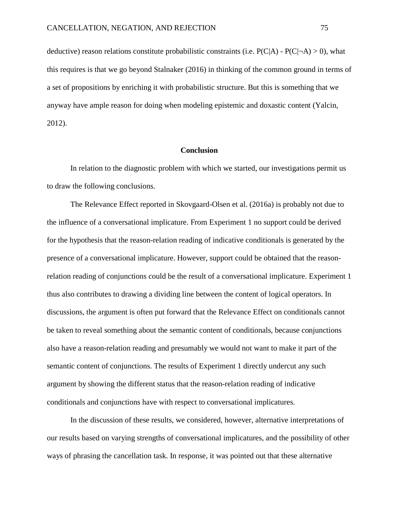deductive) reason relations constitute probabilistic constraints (i.e.  $P(C|A) - P(C|\neg A) > 0$ ), what this requires is that we go beyond Stalnaker (2016) in thinking of the common ground in terms of a set of propositions by enriching it with probabilistic structure. But this is something that we anyway have ample reason for doing when modeling epistemic and doxastic content (Yalcin, 2012).

## **Conclusion**

In relation to the diagnostic problem with which we started, our investigations permit us to draw the following conclusions.

The Relevance Effect reported in Skovgaard-Olsen et al. (2016a) is probably not due to the influence of a conversational implicature. From Experiment 1 no support could be derived for the hypothesis that the reason-relation reading of indicative conditionals is generated by the presence of a conversational implicature. However, support could be obtained that the reasonrelation reading of conjunctions could be the result of a conversational implicature. Experiment 1 thus also contributes to drawing a dividing line between the content of logical operators. In discussions, the argument is often put forward that the Relevance Effect on conditionals cannot be taken to reveal something about the semantic content of conditionals, because conjunctions also have a reason-relation reading and presumably we would not want to make it part of the semantic content of conjunctions. The results of Experiment 1 directly undercut any such argument by showing the different status that the reason-relation reading of indicative conditionals and conjunctions have with respect to conversational implicatures.

In the discussion of these results, we considered, however, alternative interpretations of our results based on varying strengths of conversational implicatures, and the possibility of other ways of phrasing the cancellation task. In response, it was pointed out that these alternative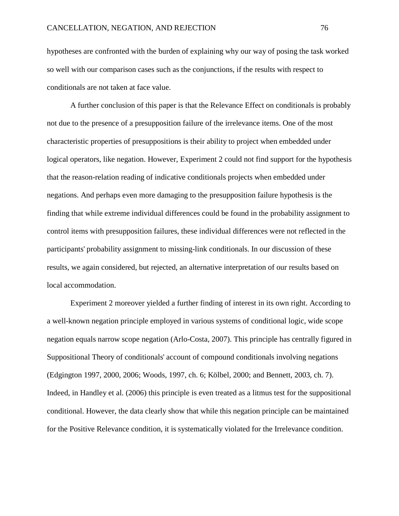hypotheses are confronted with the burden of explaining why our way of posing the task worked so well with our comparison cases such as the conjunctions, if the results with respect to conditionals are not taken at face value.

A further conclusion of this paper is that the Relevance Effect on conditionals is probably not due to the presence of a presupposition failure of the irrelevance items. One of the most characteristic properties of presuppositions is their ability to project when embedded under logical operators, like negation. However, Experiment 2 could not find support for the hypothesis that the reason-relation reading of indicative conditionals projects when embedded under negations. And perhaps even more damaging to the presupposition failure hypothesis is the finding that while extreme individual differences could be found in the probability assignment to control items with presupposition failures, these individual differences were not reflected in the participants' probability assignment to missing-link conditionals. In our discussion of these results, we again considered, but rejected, an alternative interpretation of our results based on local accommodation.

Experiment 2 moreover yielded a further finding of interest in its own right. According to a well-known negation principle employed in various systems of conditional logic, wide scope negation equals narrow scope negation (Arlo-Costa, 2007). This principle has centrally figured in Suppositional Theory of conditionals' account of compound conditionals involving negations (Edgington 1997, 2000, 2006; Woods, 1997, ch. 6; Kölbel, 2000; and Bennett, 2003, ch. 7). Indeed, in Handley et al. (2006) this principle is even treated as a litmus test for the suppositional conditional. However, the data clearly show that while this negation principle can be maintained for the Positive Relevance condition, it is systematically violated for the Irrelevance condition.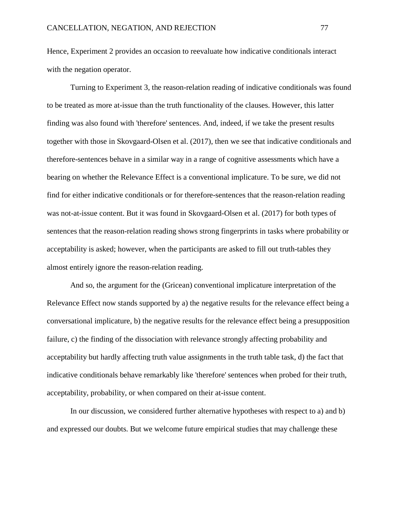Hence, Experiment 2 provides an occasion to reevaluate how indicative conditionals interact with the negation operator.

Turning to Experiment 3, the reason-relation reading of indicative conditionals was found to be treated as more at-issue than the truth functionality of the clauses. However, this latter finding was also found with 'therefore' sentences. And, indeed, if we take the present results together with those in Skovgaard-Olsen et al. (2017), then we see that indicative conditionals and therefore-sentences behave in a similar way in a range of cognitive assessments which have a bearing on whether the Relevance Effect is a conventional implicature. To be sure, we did not find for either indicative conditionals or for therefore-sentences that the reason-relation reading was not-at-issue content. But it was found in Skovgaard-Olsen et al. (2017) for both types of sentences that the reason-relation reading shows strong fingerprints in tasks where probability or acceptability is asked; however, when the participants are asked to fill out truth-tables they almost entirely ignore the reason-relation reading.

And so, the argument for the (Gricean) conventional implicature interpretation of the Relevance Effect now stands supported by a) the negative results for the relevance effect being a conversational implicature, b) the negative results for the relevance effect being a presupposition failure, c) the finding of the dissociation with relevance strongly affecting probability and acceptability but hardly affecting truth value assignments in the truth table task, d) the fact that indicative conditionals behave remarkably like 'therefore' sentences when probed for their truth, acceptability, probability, or when compared on their at-issue content.

In our discussion, we considered further alternative hypotheses with respect to a) and b) and expressed our doubts. But we welcome future empirical studies that may challenge these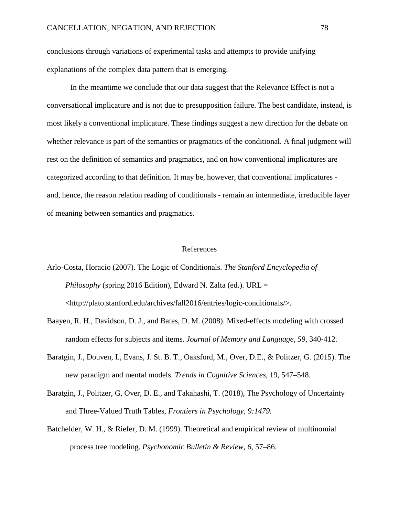conclusions through variations of experimental tasks and attempts to provide unifying explanations of the complex data pattern that is emerging.

In the meantime we conclude that our data suggest that the Relevance Effect is not a conversational implicature and is not due to presupposition failure. The best candidate, instead, is most likely a conventional implicature. These findings suggest a new direction for the debate on whether relevance is part of the semantics or pragmatics of the conditional. A final judgment will rest on the definition of semantics and pragmatics, and on how conventional implicatures are categorized according to that definition. It may be, however, that conventional implicatures and, hence, the reason relation reading of conditionals - remain an intermediate, irreducible layer of meaning between semantics and pragmatics.

## References

- Arlo-Costa, Horacio (2007). The Logic of Conditionals. *The Stanford Encyclopedia of Philosophy* (spring 2016 Edition), Edward N. Zalta (ed.). URL = <http://plato.stanford.edu/archives/fall2016/entries/logic-conditionals/>.
- Baayen, R. H., Davidson, D. J., and Bates, D. M. (2008). Mixed-effects modeling with crossed random effects for subjects and items. *Journal of Memory and Language*, *59*, 340-412.
- Baratgin, J., Douven, I., Evans, J. St. B. T., Oaksford, M., Over, D.E., & Politzer, G. (2015). The new paradigm and mental models. *Trends in Cognitive Sciences*, 19, 547–548.
- Baratgin, J., Politzer, G, Over, D. E., and Takahashi, T. (2018), The Psychology of Uncertainty and Three-Valued Truth Tables, *Frontiers in Psychology, 9:1479.*
- Batchelder, W. H., & Riefer, D. M. (1999). Theoretical and empirical review of multinomial process tree modeling. *Psychonomic Bulletin & Review, 6*, 57–86.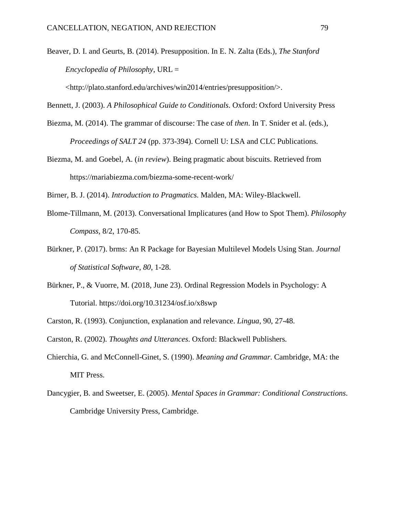Beaver, D. I. and Geurts, B. (2014). Presupposition. In E. N. Zalta (Eds.), *The Stanford Encyclopedia of Philosophy*, URL =

<http://plato.stanford.edu/archives/win2014/entries/presupposition/>.

Bennett, J. (2003). *A Philosophical Guide to Conditionals*. Oxford: Oxford University Press

- Biezma, M. (2014). The grammar of discourse: The case of *then*. In T. Snider et al. (eds.), *Proceedings of SALT 24* (pp. 373-394). Cornell U: LSA and CLC Publications.
- Biezma, M. and Goebel, A. (*in review*). Being pragmatic about biscuits. Retrieved from https://mariabiezma.com/biezma-some-recent-work/

Birner, B. J. (2014). *Introduction to Pragmatics*. Malden, MA: Wiley-Blackwell.

- Blome-Tillmann, M. (2013). Conversational Implicatures (and How to Spot Them). *Philosophy Compass*, 8/2, 170-85.
- Bürkner, P. (2017). brms: An R Package for Bayesian Multilevel Models Using Stan. *Journal of Statistical Software*, *80*, 1-28.
- Bürkner, P., & Vuorre, M. (2018, June 23). Ordinal Regression Models in Psychology: A Tutorial. https://doi.org/10.31234/osf.io/x8swp
- Carston, R. (1993). Conjunction, explanation and relevance. *Lingua*, 90, 27-48.

Carston, R. (2002). *Thoughts and Utterances*. Oxford: Blackwell Publishers.

- Chierchia, G. and McConnell-Ginet, S. (1990). *Meaning and Grammar*. Cambridge, MA: the MIT Press.
- Dancygier, B. and Sweetser, E. (2005). *Mental Spaces in Grammar: Conditional Constructions*. Cambridge University Press, Cambridge.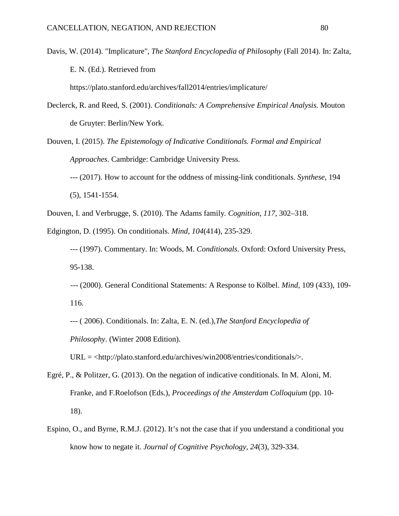Davis, W. (2014). "Implicature", *The Stanford Encyclopedia of Philosophy* (Fall 2014). In: Zalta, E. N. (Ed.). Retrieved from

https://plato.stanford.edu/archives/fall2014/entries/implicature/

- Declerck, R. and Reed, S. (2001). *Conditionals: A Comprehensive Empirical Analysis*. Mouton de Gruyter: Berlin/New York.
- Douven, I. (2015). *The Epistemology of Indicative Conditionals. Formal and Empirical Approaches*. Cambridge: Cambridge University Press.

--- (2017). How to account for the oddness of missing-link conditionals. *Synthese,* 194 (5), 1541-1554.

Douven, I. and Verbrugge, S. (2010). The Adams family*. Cognition*, *117*, 302–318.

Edgington, D. (1995). On conditionals. *Mind*, *104*(414), 235-329.

- --- (1997). Commentary. In: Woods, M. *Conditionals*. Oxford: Oxford University Press, 95-138.
- --- (2000). General Conditional Statements: A Response to Kölbel. *Mind*, 109 (433), 109- 116.
- --- ( 2006). Conditionals. In: Zalta, E. N. (ed.),*The Stanford Encyclopedia of Philosophy*. (Winter 2008 Edition).

URL = <http://plato.stanford.edu/archives/win2008/entries/conditionals/>.

- Egré, P., & Politzer, G. (2013). On the negation of indicative conditionals. In M. Aloni, M. Franke, and F.Roelofson (Eds.), *Proceedings of the Amsterdam Colloquium* (pp. 10- 18).
- Espino, O., and Byrne, R.M.J. (2012). It's not the case that if you understand a conditional you know how to negate it. *Journal of Cognitive Psychology, 24*(3), 329-334.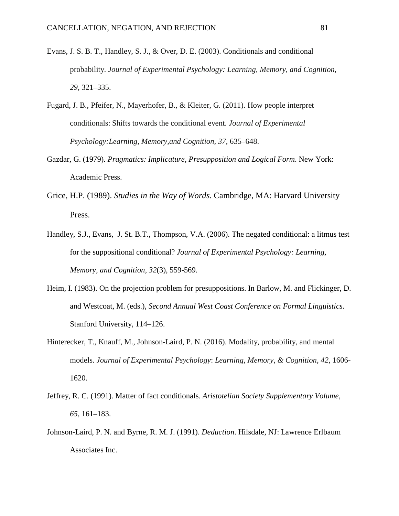- Evans, J. S. B. T., Handley, S. J., & Over, D. E. (2003). Conditionals and conditional probability. *Journal of Experimental Psychology: Learning, Memory, and Cognition, 29*, 321–335.
- Fugard, J. B., Pfeifer, N., Mayerhofer, B., & Kleiter, G. (2011). How people interpret conditionals: Shifts towards the conditional event. *Journal of Experimental Psychology:Learning, Memory,and Cognition, 37*, 635–648.
- Gazdar, G. (1979). *Pragmatics: Implicature, Presupposition and Logical Form*. New York: Academic Press.
- Grice, H.P. (1989). *Studies in the Way of Words*. Cambridge, MA: Harvard University Press.
- Handley, S.J., Evans, J. St. B.T., Thompson, V.A. (2006). The negated conditional: a litmus test for the suppositional conditional? *Journal of Experimental Psychology: Learning, Memory, and Cognition, 32*(3), 559-569.
- Heim, I. (1983). On the projection problem for presuppositions. In Barlow, M. and Flickinger, D. and Westcoat, M. (eds.), *Second Annual West Coast Conference on Formal Linguistics*. Stanford University, 114–126.
- Hinterecker, T., Knauff, M., Johnson-Laird, P. N. (2016). Modality, probability, and mental models. *Journal of Experimental Psychology*: *Learning, Memory, & Cognition*, *42*, 1606- 1620.
- Jeffrey, R. C. (1991). Matter of fact conditionals. *Aristotelian Society Supplementary Volume*, *65*, 161–183.
- Johnson-Laird, P. N. and Byrne, R. M. J. (1991). *Deduction*. Hilsdale, NJ: Lawrence Erlbaum Associates Inc.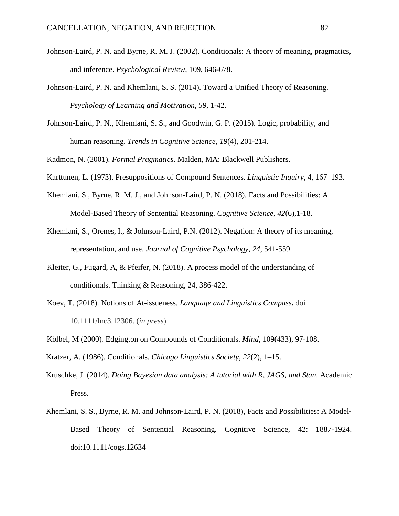- Johnson-Laird, P. N. and Byrne, R. M. J. (2002). Conditionals: A theory of meaning, pragmatics, and inference. *Psychological Review*, 109, 646-678.
- Johnson-Laird, P. N. and Khemlani, S. S. (2014). Toward a Unified Theory of Reasoning. *Psychology of Learning and Motivation*, *59*, 1-42.
- Johnson-Laird, P. N., Khemlani, S. S., and Goodwin, G. P. (2015). Logic, probability, and human reasoning. *Trends in Cognitive Science*, *19*(4), 201-214.
- Kadmon, N. (2001). *Formal Pragmatics*. Malden, MA: Blackwell Publishers.
- Karttunen, L. (1973). Presuppositions of Compound Sentences. *Linguistic Inquiry*, 4, 167–193.
- Khemlani, S., Byrne, R. M. J., and Johnson-Laird, P. N. (2018). Facts and Possibilities: A Model-Based Theory of Sentential Reasoning. *Cognitive Science*, *42*(6),1-18.
- Khemlani, S., Orenes, I., & Johnson-Laird, P.N. (2012). Negation: A theory of its meaning, representation, and use. *Journal of Cognitive Psychology, 24*, 541-559.
- Kleiter, G., Fugard, A, & Pfeifer, N. (2018). A process model of the understanding of conditionals. Thinking & Reasoning, 24, 386-422.
- Koev, T. (2018). Notions of At-issueness. *Language and Linguistics Compass.* doi 10.1111/lnc3.12306. (*in press*)
- Kölbel, M (2000). Edgington on Compounds of Conditionals. *Mind*, 109(433), 97-108.

Kratzer, A. (1986). Conditionals. *Chicago Linguistics Society*, *22*(2), 1–15.

- Kruschke, J. (2014). *Doing Bayesian data analysis: A tutorial with R, JAGS, and Stan*. Academic Press.
- Khemlani, S. S., Byrne, R. M. and Johnson‐Laird, P. N. (2018), Facts and Possibilities: A Model‐ Based Theory of Sentential Reasoning. Cognitive Science, 42: 1887-1924. doi[:10.1111/cogs.12634](https://doi.org/10.1111/cogs.12634)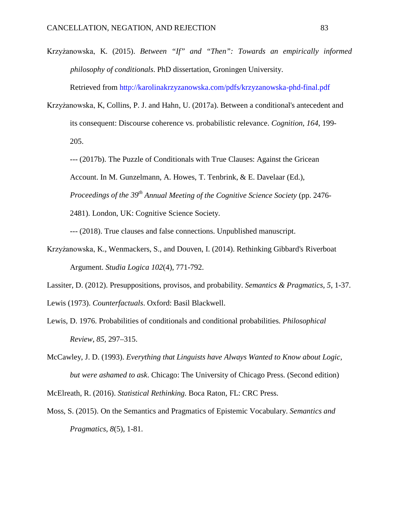- Krzyżanowska, K. (2015). *Between "If" and "Then": Towards an empirically informed philosophy of conditionals*. PhD dissertation, Groningen University. Retrieved from http://karolinakrzyzanowska.com/pdfs/krzyzanowska-phd-final.pdf
- Krzyżanowska, K, Collins, P. J. and Hahn, U. (2017a). Between a conditional's antecedent and its consequent: Discourse coherence vs. probabilistic relevance. *Cognition*, *164*, 199- 205.

--- (2017b). The Puzzle of Conditionals with True Clauses: Against the Gricean Account. In M. Gunzelmann, A. Howes, T. Tenbrink, & E. Davelaar (Ed.), *Proceedings of the 39th Annual Meeting of the Cognitive Science Society* (pp. 2476- 2481). London, UK: Cognitive Science Society.

--- (2018). True clauses and false connections. Unpublished manuscript.

Krzyżanowska, K., Wenmackers, S., and Douven, I. (2014). Rethinking Gibbard's Riverboat Argument. *Studia Logica 102*(4), 771-792.

Lassiter, D. (2012). Presuppositions, provisos, and probability. *Semantics & Pragmatics*, *5*, 1-37. Lewis (1973). *Counterfactuals*. Oxford: Basil Blackwell.

- Lewis, D. 1976. Probabilities of conditionals and conditional probabilities. *Philosophical Review*, *85*, 297–315.
- McCawley, J. D. (1993). *Everything that Linguists have Always Wanted to Know about Logic, but were ashamed to ask*. Chicago: The University of Chicago Press. (Second edition)
- McElreath, R. (2016). *Statistical Rethinking.* Boca Raton, FL: CRC Press.
- Moss, S. (2015). On the Semantics and Pragmatics of Epistemic Vocabulary. *Semantics and Pragmatics*, *8*(5), 1-81.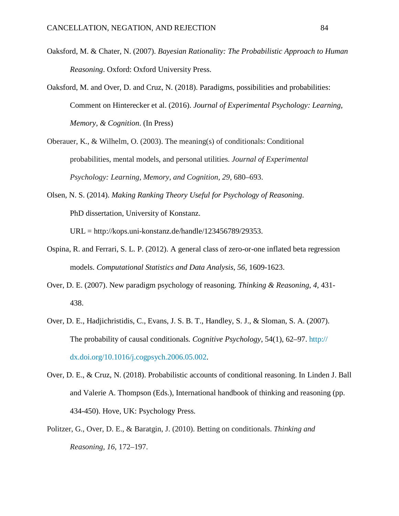- Oaksford, M. & Chater, N. (2007). *Bayesian Rationality: The Probabilistic Approach to Human Reasoning*. Oxford: Oxford University Press.
- Oaksford, M. and Over, D. and Cruz, N. (2018). Paradigms, possibilities and probabilities: Comment on Hinterecker et al. (2016). *Journal of Experimental Psychology: Learning, Memory, & Cognition*. (In Press)
- Oberauer, K., & Wilhelm, O. (2003). The meaning(s) of conditionals: Conditional probabilities, mental models, and personal utilities. *Journal of Experimental Psychology: Learning, Memory, and Cognition, 29*, 680–693.
- Olsen, N. S. (2014). *Making Ranking Theory Useful for Psychology of Reasoning*. PhD dissertation, University of Konstanz. URL = http://kops.uni-konstanz.de/handle/123456789/29353.
- Ospina, R. and Ferrari, S. L. P. (2012). A general class of zero-or-one inflated beta regression models. *Computational Statistics and Data Analysis*, *56*, 1609-1623.
- Over, D. E. (2007). New paradigm psychology of reasoning. *Thinking & Reasoning*, *4*, 431- 438.
- Over, D. E., Hadjichristidis, C., Evans, J. S. B. T., Handley, S. J., & Sloman, S. A. (2007). The probability of causal conditionals*. Cognitive Psychology*, 54(1), 62–97. http:// dx.doi.org/10.1016/j.cogpsych.2006.05.002.
- Over, D. E., & Cruz, N. (2018). Probabilistic accounts of conditional reasoning. In Linden J. Ball and Valerie A. Thompson (Eds.), International handbook of thinking and reasoning (pp. 434-450). Hove, UK: Psychology Press.
- Politzer, G., Over, D. E., & Baratgin, J. (2010). Betting on conditionals. *Thinking and Reasoning, 16*, 172–197.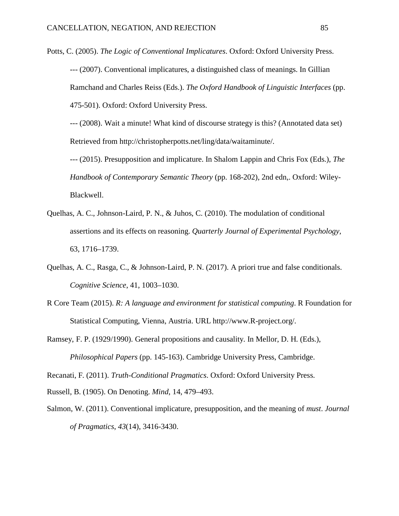Potts, C. (2005). *The Logic of [Conventional](https://web.stanford.edu/~cgpotts/papers/potts-book-2005.pdf) Implicatures*. Oxford: Oxford University Press. --- (2007). [Conventional](https://web.stanford.edu/~cgpotts/papers/potts-interfaces.pdf) implicatures, a distinguished class of meanings. In Gillian Ramchand and Charles Reiss (Eds.). *The Oxford Handbook of Linguistic Interfaces* (pp. 475-501). Oxford: Oxford University Press. --- (2008). Wait a minute! What kind of discourse strategy is this? (Annotated data set) Retrieved from http://christopherpotts.net/ling/data/waitaminute/. --- (2015). [Presupposition](https://web.stanford.edu/~cgpotts/manuscripts/potts-blackwellsemantics.pdf) and implicature. In Shalom Lappin and Chris Fox (Eds.), *The Handbook of Contemporary Semantic Theory* (pp. 168-202), 2nd edn,. Oxford: Wiley-

Blackwell.

- Quelhas, A. C., Johnson-Laird, P. N., & Juhos, C. (2010). The modulation of conditional assertions and its effects on reasoning. *Quarterly Journal of Experimental Psychology*, 63, 1716–1739.
- Quelhas, A. C., Rasga, C., & Johnson-Laird, P. N. (2017). A priori true and false conditionals. *Cognitive Science*, 41, 1003–1030.
- R Core Team (2015). *R: A language and environment for statistical computing*. R Foundation for Statistical Computing, Vienna, Austria. URL http://www.R-project.org/.
- Ramsey, F. P. (1929/1990). General propositions and causality. In Mellor, D. H. (Eds.), *Philosophical Papers* (pp. 145-163). Cambridge University Press, Cambridge.

Recanati, F. (2011). *Truth-Conditional Pragmatics*. Oxford: Oxford University Press.

Russell, B. (1905). On Denoting. *Mind*, 14, 479–493.

Salmon, W. (2011). Conventional implicature, presupposition, and the meaning of *must*. *Journal of Pragmatics*, *43*(14), 3416-3430.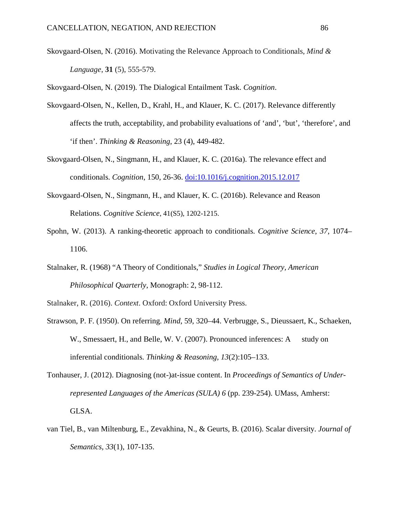Skovgaard-Olsen, N. (2016). Motivating the Relevance Approach to Conditionals, *Mind & Language*, **31** (5), 555-579.

Skovgaard-Olsen, N. (2019)*.* The Dialogical Entailment Task. *Cognition*.

- Skovgaard-Olsen, N., Kellen, D., Krahl, H., and Klauer, K. C. (2017). Relevance differently affects the truth, acceptability, and probability evaluations of 'and', 'but', 'therefore', and 'if then'. *Thinking & Reasoning*, 23 (4), 449-482.
- Skovgaard-Olsen, N., Singmann, H., and Klauer, K. C. (2016a). The relevance effect and conditionals. *Cognition*, 150, 26-36. [doi:10.1016/j.cognition.2015.12.017](http://dx.doi.org/10.1016/j.cognition.2015.12.017)
- Skovgaard-Olsen, N., Singmann, H., and Klauer, K. C. (2016b). Relevance and Reason Relations. *Cognitive Science*, 41(S5), 1202-1215.
- Spohn, W. (2013). A ranking-theoretic approach to conditionals. *Cognitive Science*, *37*, 1074– 1106.
- Stalnaker, R. (1968) "A Theory of Conditionals," *Studies in Logical Theory, American Philosophical Quarterly*, Monograph: 2, 98-112.
- Stalnaker, R. (2016). *Context*. Oxford: Oxford University Press.
- Strawson, P. F. (1950). On referring. *Mind*, 59, 320–44. Verbrugge, S., Dieussaert, K., Schaeken, W., Smessaert, H., and Belle, W. V. (2007). Pronounced inferences: A study on inferential conditionals. *Thinking & Reasoning, 13*(2):105–133.
- Tonhauser, J. (2012). Diagnosing (not-)at-issue content. In *Proceedings of Semantics of Underrepresented Languages of the Americas (SULA) 6* (pp. 239-254). UMass, Amherst: GLSA.
- van Tiel, B., van Miltenburg, E., Zevakhina, N., & Geurts, B. (2016). Scalar diversity. *Journal of Semantics, 33*(1), 107-135.